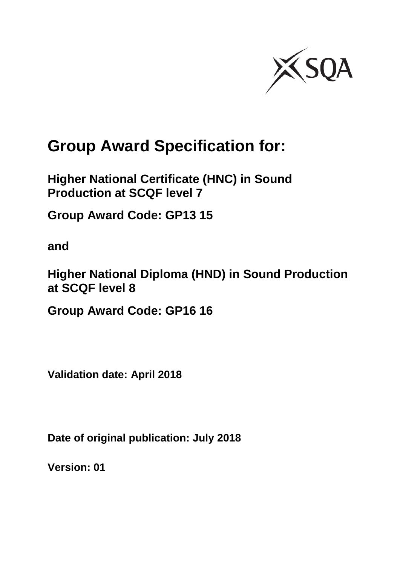

# **Group Award Specification for:**

**Higher National Certificate (HNC) in Sound Production at SCQF level 7**

**Group Award Code: GP13 15**

**and**

**Higher National Diploma (HND) in Sound Production at SCQF level 8**

**Group Award Code: GP16 16**

**Validation date: April 2018**

**Date of original publication: July 2018**

**Version: 01**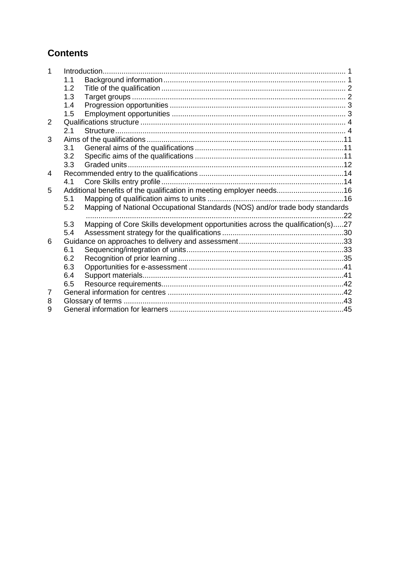## **Contents**

|                |     | Introduction                                                                   |     |
|----------------|-----|--------------------------------------------------------------------------------|-----|
|                | 1.1 |                                                                                |     |
|                | 1.2 |                                                                                |     |
|                | 1.3 |                                                                                |     |
|                | 1.4 |                                                                                |     |
|                | 1.5 |                                                                                |     |
| $\overline{2}$ |     |                                                                                |     |
|                | 2.1 |                                                                                |     |
| 3              |     |                                                                                |     |
|                | 3.1 |                                                                                |     |
|                | 3.2 |                                                                                |     |
|                | 3.3 |                                                                                |     |
| 4              |     |                                                                                |     |
|                | 4.1 |                                                                                |     |
| 5              |     | Additional benefits of the qualification in meeting employer needs16           |     |
|                | 5.1 |                                                                                |     |
|                | 5.2 | Mapping of National Occupational Standards (NOS) and/or trade body standards   |     |
|                |     |                                                                                | .22 |
|                | 5.3 | Mapping of Core Skills development opportunities across the qualification(s)27 |     |
|                | 5.4 |                                                                                |     |
| 6              |     |                                                                                |     |
|                | 6.1 |                                                                                |     |
|                | 6.2 |                                                                                |     |
|                | 6.3 |                                                                                |     |
|                | 6.4 |                                                                                |     |
|                | 6.5 |                                                                                |     |
| 7              |     |                                                                                |     |
| 8              |     |                                                                                |     |
| 9              |     |                                                                                |     |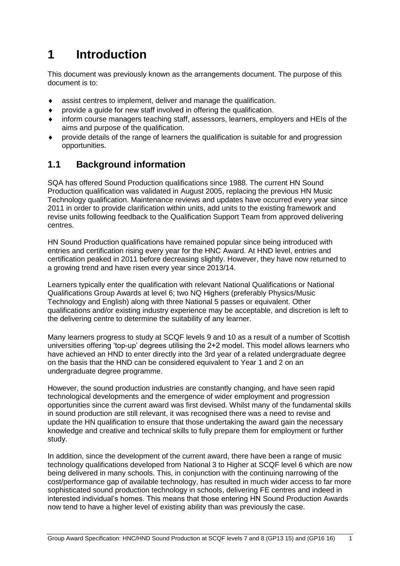## <span id="page-2-0"></span>**1 Introduction**

This document was previously known as the arrangements document. The purpose of this document is to:

- assist centres to implement, deliver and manage the qualification.
- provide a guide for new staff involved in offering the qualification.
- inform course managers teaching staff, assessors, learners, employers and HEIs of the aims and purpose of the qualification.
- provide details of the range of learners the qualification is suitable for and progression opportunities.

## <span id="page-2-1"></span>**1.1 Background information**

SQA has offered Sound Production qualifications since 1988. The current HN Sound Production qualification was validated in August 2005, replacing the previous HN Music Technology qualification. Maintenance reviews and updates have occurred every year since 2011 in order to provide clarification within units, add units to the existing framework and revise units following feedback to the Qualification Support Team from approved delivering centres.

HN Sound Production qualifications have remained popular since being introduced with entries and certification rising every year for the HNC Award. At HND level, entries and certification peaked in 2011 before decreasing slightly. However, they have now returned to a growing trend and have risen every year since 2013/14.

Learners typically enter the qualification with relevant National Qualifications or National Qualifications Group Awards at level 6; two NQ Highers (preferably Physics/Music Technology and English) along with three National 5 passes or equivalent. Other qualifications and/or existing industry experience may be acceptable, and discretion is left to the delivering centre to determine the suitability of any learner.

Many learners progress to study at SCQF levels 9 and 10 as a result of a number of Scottish universities offering 'top-up' degrees utilising the 2+2 model. This model allows learners who have achieved an HND to enter directly into the 3rd year of a related undergraduate degree on the basis that the HND can be considered equivalent to Year 1 and 2 on an undergraduate degree programme.

However, the sound production industries are constantly changing, and have seen rapid technological developments and the emergence of wider employment and progression opportunities since the current award was first devised. Whilst many of the fundamental skills in sound production are still relevant, it was recognised there was a need to revise and update the HN qualification to ensure that those undertaking the award gain the necessary knowledge and creative and technical skills to fully prepare them for employment or further study.

In addition, since the development of the current award, there have been a range of music technology qualifications developed from National 3 to Higher at SCQF level 6 which are now being delivered in many schools. This, in conjunction with the continuing narrowing of the cost/performance gap of available technology, has resulted in much wider access to far more sophisticated sound production technology in schools, delivering FE centres and indeed in interested individual's homes. This means that those entering HN Sound Production Awards now tend to have a higher level of existing ability than was previously the case.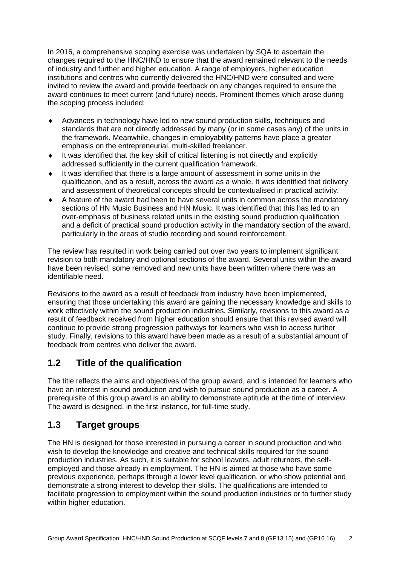In 2016, a comprehensive scoping exercise was undertaken by SQA to ascertain the changes required to the HNC/HND to ensure that the award remained relevant to the needs of industry and further and higher education. A range of employers, higher education institutions and centres who currently delivered the HNC/HND were consulted and were invited to review the award and provide feedback on any changes required to ensure the award continues to meet current (and future) needs. Prominent themes which arose during the scoping process included:

- Advances in technology have led to new sound production skills, techniques and standards that are not directly addressed by many (or in some cases any) of the units in the framework. Meanwhile, changes in employability patterns have place a greater emphasis on the entrepreneurial, multi-skilled freelancer.
- It was identified that the key skill of critical listening is not directly and explicitly addressed sufficiently in the current qualification framework.
- $\bullet$  It was identified that there is a large amount of assessment in some units in the qualification, and as a result, across the award as a whole. It was identified that delivery and assessment of theoretical concepts should be contextualised in practical activity.
- A feature of the award had been to have several units in common across the mandatory sections of HN Music Business and HN Music. It was identified that this has led to an over-emphasis of business related units in the existing sound production qualification and a deficit of practical sound production activity in the mandatory section of the award, particularly in the areas of studio recording and sound reinforcement.

The review has resulted in work being carried out over two years to implement significant revision to both mandatory and optional sections of the award. Several units within the award have been revised, some removed and new units have been written where there was an identifiable need.

Revisions to the award as a result of feedback from industry have been implemented, ensuring that those undertaking this award are gaining the necessary knowledge and skills to work effectively within the sound production industries. Similarly, revisions to this award as a result of feedback received from higher education should ensure that this revised award will continue to provide strong progression pathways for learners who wish to access further study. Finally, revisions to this award have been made as a result of a substantial amount of feedback from centres who deliver the award.

## <span id="page-3-0"></span>**1.2 Title of the qualification**

The title reflects the aims and objectives of the group award, and is intended for learners who have an interest in sound production and wish to pursue sound production as a career. A prerequisite of this group award is an ability to demonstrate aptitude at the time of interview. The award is designed, in the first instance, for full-time study.

## <span id="page-3-1"></span>**1.3 Target groups**

The HN is designed for those interested in pursuing a career in sound production and who wish to develop the knowledge and creative and technical skills required for the sound production industries. As such, it is suitable for school leavers, adult returners, the selfemployed and those already in employment. The HN is aimed at those who have some previous experience, perhaps through a lower level qualification, or who show potential and demonstrate a strong interest to develop their skills. The qualifications are intended to facilitate progression to employment within the sound production industries or to further study within higher education.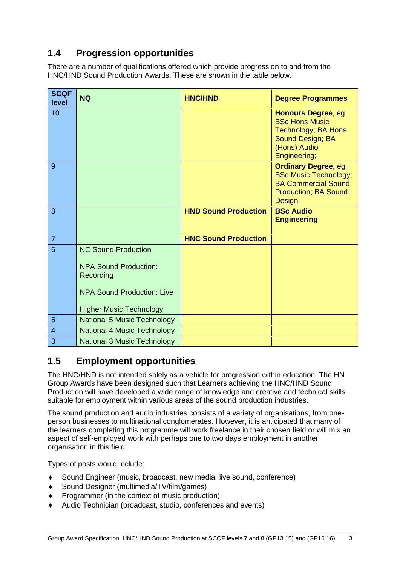## <span id="page-4-0"></span>**1.4 Progression opportunities**

There are a number of qualifications offered which provide progression to and from the HNC/HND Sound Production Awards. These are shown in the table below.

| <b>SCQF</b><br>level | <b>NQ</b>                                                                                                                                      | <b>HNC/HND</b>              | <b>Degree Programmes</b>                                                                                                                 |
|----------------------|------------------------------------------------------------------------------------------------------------------------------------------------|-----------------------------|------------------------------------------------------------------------------------------------------------------------------------------|
| 10                   |                                                                                                                                                |                             | <b>Honours Degree, eg</b><br><b>BSc Hons Music</b><br><b>Technology; BA Hons</b><br>Sound Design; BA<br>(Hons) Audio<br>Engineering;     |
| 9                    |                                                                                                                                                |                             | <b>Ordinary Degree, eg</b><br><b>BSc Music Technology;</b><br><b>BA Commercial Sound</b><br><b>Production; BA Sound</b><br><b>Design</b> |
| 8                    |                                                                                                                                                | <b>HND Sound Production</b> | <b>BSc Audio</b><br><b>Engineering</b>                                                                                                   |
| $\overline{7}$       |                                                                                                                                                | <b>HNC Sound Production</b> |                                                                                                                                          |
| 6                    | <b>NC Sound Production</b><br><b>NPA Sound Production:</b><br>Recording<br><b>NPA Sound Production: Live</b><br><b>Higher Music Technology</b> |                             |                                                                                                                                          |
| 5                    | <b>National 5 Music Technology</b>                                                                                                             |                             |                                                                                                                                          |
| $\overline{4}$       | <b>National 4 Music Technology</b>                                                                                                             |                             |                                                                                                                                          |
| 3                    | <b>National 3 Music Technology</b>                                                                                                             |                             |                                                                                                                                          |

## <span id="page-4-1"></span>**1.5 Employment opportunities**

The HNC/HND is not intended solely as a vehicle for progression within education. The HN Group Awards have been designed such that Learners achieving the HNC/HND Sound Production will have developed a wide range of knowledge and creative and technical skills suitable for employment within various areas of the sound production industries.

The sound production and audio industries consists of a variety of organisations, from oneperson businesses to multinational conglomerates. However, it is anticipated that many of the learners completing this programme will work freelance in their chosen field or will mix an aspect of self-employed work with perhaps one to two days employment in another organisation in this field.

Types of posts would include:

- Sound Engineer (music, broadcast, new media, live sound, conference)
- Sound Designer (multimedia/TV/film/games)
- Programmer (in the context of music production)
- Audio Technician (broadcast, studio, conferences and events)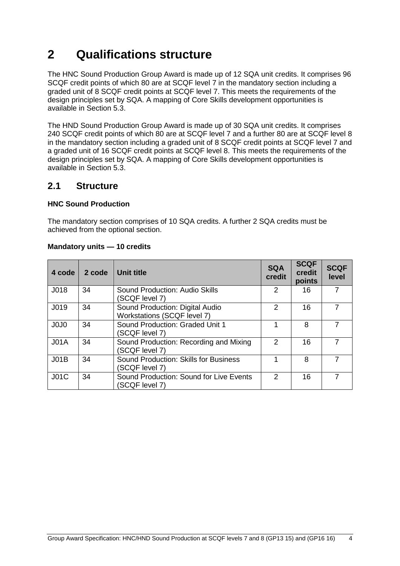## <span id="page-5-0"></span>**2 Qualifications structure**

The HNC Sound Production Group Award is made up of 12 SQA unit credits. It comprises 96 SCQF credit points of which 80 are at SCQF level 7 in the mandatory section including a graded unit of 8 SCQF credit points at SCQF level 7. This meets the requirements of the design principles set by SQA. A mapping of Core Skills development opportunities is available in Section 5.3.

The HND Sound Production Group Award is made up of 30 SQA unit credits. It comprises 240 SCQF credit points of which 80 are at SCQF level 7 and a further 80 are at SCQF level 8 in the mandatory section including a graded unit of 8 SCQF credit points at SCQF level 7 and a graded unit of 16 SCQF credit points at SCQF level 8. This meets the requirements of the design principles set by SQA. A mapping of Core Skills development opportunities is available in Section 5.3.

#### <span id="page-5-1"></span>**2.1 Structure**

#### **HNC Sound Production**

The mandatory section comprises of 10 SQA credits. A further 2 SQA credits must be achieved from the optional section.

| 4 code                        | 2 code | Unit title                                                     | <b>SQA</b><br>credit | <b>SCQF</b><br>credit<br>points | <b>SCQF</b><br>level |
|-------------------------------|--------|----------------------------------------------------------------|----------------------|---------------------------------|----------------------|
| J018                          | 34     | Sound Production: Audio Skills<br>(SCQF level 7)               | 2                    | 16                              | 7                    |
| J019                          | 34     | Sound Production: Digital Audio<br>Workstations (SCQF level 7) | $\mathcal{P}$        | 16                              |                      |
| J <sub>0</sub> J <sub>0</sub> | 34     | Sound Production: Graded Unit 1<br>(SCQF level 7)              |                      | 8                               | 7                    |
| JO1A                          | 34     | Sound Production: Recording and Mixing<br>(SCQF level 7)       | $\mathcal{P}$        | 16                              |                      |
| JO1B                          | 34     | <b>Sound Production: Skills for Business</b><br>(SCQF level 7) |                      | 8                               |                      |
| J01C                          | 34     | Sound Production: Sound for Live Events<br>SCQF level 7)       | $\mathcal{P}$        | 16                              |                      |

#### **Mandatory units — 10 credits**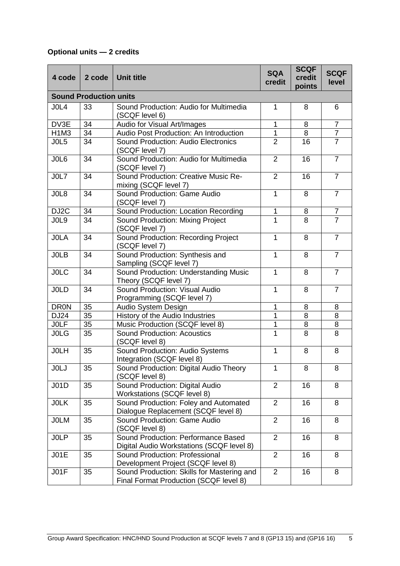### **Optional units — 2 credits**

| 4 code            | 2 code                        | <b>Unit title</b>                                                                    | <b>SQA</b><br>credit | <b>SCQF</b><br>credit<br>points | <b>SCQF</b><br>level |
|-------------------|-------------------------------|--------------------------------------------------------------------------------------|----------------------|---------------------------------|----------------------|
|                   | <b>Sound Production units</b> |                                                                                      |                      |                                 |                      |
| JOL4              | 33                            | Sound Production: Audio for Multimedia<br>(SCQF level 6)                             | 1                    | 8                               | 6                    |
| DV3E              | 34                            | Audio for Visual Art/Images                                                          | 1                    | 8                               | $\overline{7}$       |
| <b>H1M3</b>       | 34                            | Audio Post Production: An Introduction                                               | 1                    | 8                               | $\overline{7}$       |
| JOL5              | 34                            | Sound Production: Audio Electronics<br>(SCQF level 7)                                | $\overline{2}$       | 16                              | $\overline{7}$       |
| JOL6              | 34                            | Sound Production: Audio for Multimedia<br>(SCQF level 7)                             | $\overline{2}$       | 16                              | $\overline{7}$       |
| JOL7              | 34                            | Sound Production: Creative Music Re-<br>mixing (SCQF level 7)                        | $\overline{2}$       | 16                              | $\overline{7}$       |
| JOL8              | 34                            | Sound Production: Game Audio<br>(SCQF level 7)                                       | $\mathbf{1}$         | 8                               | $\overline{7}$       |
| DJ <sub>2</sub> C | 34                            | Sound Production: Location Recording                                                 | 1                    | 8                               | $\overline{7}$       |
| JOL9              | 34                            | Sound Production: Mixing Project<br>(SCQF level 7)                                   | 1                    | 8                               | $\overline{7}$       |
| <b>JOLA</b>       | 34                            | Sound Production: Recording Project<br>(SCQF level 7)                                | $\mathbf{1}$         | 8                               | $\overline{7}$       |
| <b>JOLB</b>       | 34                            | Sound Production: Synthesis and<br>Sampling (SCQF level 7)                           | 1                    | 8                               | $\overline{7}$       |
| <b>JOLC</b>       | 34                            | Sound Production: Understanding Music<br>Theory (SCQF level 7)                       | $\mathbf{1}$         | 8                               | $\overline{7}$       |
| <b>JOLD</b>       | 34                            | Sound Production: Visual Audio<br>Programming (SCQF level 7)                         | $\mathbf{1}$         | 8                               | $\overline{7}$       |
| <b>DR0N</b>       | 35                            | Audio System Design                                                                  | 1                    | 8                               | 8                    |
| DJ24              | 35                            | History of the Audio Industries                                                      | 1                    | 8                               | 8                    |
| <b>JOLF</b>       | 35                            | Music Production (SCQF level 8)                                                      | 1                    | 8                               | 8                    |
| <b>JOLG</b>       | 35                            | <b>Sound Production: Acoustics</b><br>(SCQF level 8)                                 | 1                    | 8                               | 8                    |
| <b>JOLH</b>       | 35                            | Sound Production: Audio Systems<br>Integration (SCQF level 8)                        | 1                    | 8                               | 8                    |
| <b>JOLJ</b>       | 35                            | Sound Production: Digital Audio Theory<br>(SCQF level 8)                             | 1                    | 8                               | 8                    |
| JO1D              | 35                            | Sound Production: Digital Audio<br>Workstations (SCQF level 8)                       | $\overline{2}$       | 16                              | 8                    |
| <b>JOLK</b>       | 35                            | Sound Production: Foley and Automated<br>Dialogue Replacement (SCQF level 8)         | $\overline{2}$       | 16                              | 8                    |
| <b>JOLM</b>       | 35                            | Sound Production: Game Audio<br>(SCQF level 8)                                       | $\overline{2}$       | 16                              | 8                    |
| <b>JOLP</b>       | 35                            | Sound Production: Performance Based<br>Digital Audio Workstations (SCQF level 8)     | $\overline{2}$       | 16                              | 8                    |
| <b>J01E</b>       | 35                            | Sound Production: Professional<br>Development Project (SCQF level 8)                 | $\overline{2}$       | 16                              | 8                    |
| JO1F              | 35                            | Sound Production: Skills for Mastering and<br>Final Format Production (SCQF level 8) | $\overline{2}$       | 16                              | 8                    |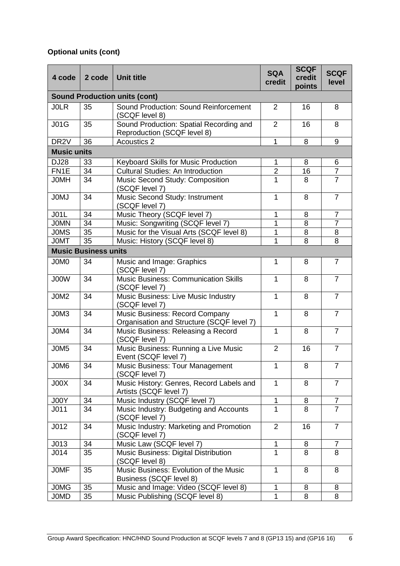## **Optional units (cont)**

| 4 code             | 2 code                      | <b>Unit title</b>                                                           | <b>SQA</b><br>credit | <b>SCQF</b><br>credit<br>points | <b>SCQF</b><br>level |
|--------------------|-----------------------------|-----------------------------------------------------------------------------|----------------------|---------------------------------|----------------------|
|                    |                             | <b>Sound Production units (cont)</b>                                        |                      |                                 |                      |
| <b>JOLR</b>        | 35                          | Sound Production: Sound Reinforcement<br>(SCQF level 8)                     | $\overline{2}$       | 16                              | 8                    |
| <b>J01G</b>        | 35                          | Sound Production: Spatial Recording and<br>Reproduction (SCQF level 8)      | $\overline{2}$       | 16                              | 8                    |
| DR <sub>2V</sub>   | 36                          | <b>Acoustics 2</b>                                                          | 1                    | 8                               | 9                    |
| <b>Music units</b> |                             |                                                                             |                      |                                 |                      |
| <b>DJ28</b>        | 33                          | Keyboard Skills for Music Production                                        | 1                    | 8                               | 6                    |
| FN <sub>1</sub> E  | 34                          | <b>Cultural Studies: An Introduction</b>                                    | $\overline{2}$       | 16                              | $\overline{7}$       |
| <b>JOMH</b>        | 34                          | Music Second Study: Composition<br>(SCQF level 7)                           | 1                    | 8                               | $\overline{7}$       |
| <b>JOMJ</b>        | 34                          | Music Second Study: Instrument<br>(SCQF level 7)                            | 1                    | 8                               | $\overline{7}$       |
| <b>J01L</b>        | 34                          | Music Theory (SCQF level 7)                                                 | 1                    | 8                               | 7                    |
| <b>JOMN</b>        | 34                          | Music: Songwriting (SCQF level 7)                                           | 1                    | 8                               | $\overline{7}$       |
| <b>JOMS</b>        | 35                          | Music for the Visual Arts (SCQF level 8)                                    | 1                    | 8                               | 8                    |
| <b>JOMT</b>        | 35                          | Music: History (SCQF level 8)                                               | 1                    | 8                               | 8                    |
|                    | <b>Music Business units</b> |                                                                             |                      |                                 |                      |
| J0M0               | 34                          | Music and Image: Graphics<br>(SCQF level 7)                                 | $\mathbf{1}$         | 8                               | $\overline{7}$       |
| J00W               | 34                          | <b>Music Business: Communication Skills</b><br>(SCQF level 7)               | 1                    | 8                               | $\overline{7}$       |
| J0M2               | 34                          | Music Business: Live Music Industry<br>(SCQF level 7)                       | $\mathbf{1}$         | 8                               | $\overline{7}$       |
| J0M3               | 34                          | Music Business: Record Company<br>Organisation and Structure (SCQF level 7) | $\mathbf{1}$         | 8                               | $\overline{7}$       |
| J0M4               | 34                          | Music Business: Releasing a Record<br>(SCQF level 7)                        | $\mathbf{1}$         | 8                               | 7                    |
| J0M5               | 34                          | Music Business: Running a Live Music<br>Event (SCQF level 7)                | $\overline{2}$       | 16                              | 7                    |
| J0M6               | 34                          | Music Business: Tour Management<br>(SCQF level 7)                           | $\mathbf{1}$         | 8                               | $\overline{7}$       |
| JOOK               | 34                          | Music History: Genres, Record Labels and<br>Artists (SCQF level 7)          | $\mathbf{1}$         | 8                               | $\overline{7}$       |
| J00Y               | 34                          | Music Industry (SCQF level 7)                                               | $\mathbf{1}$         | 8                               | 7                    |
| J <sub>011</sub>   | 34                          | Music Industry: Budgeting and Accounts<br>(SCQF level 7)                    | 1                    | 8                               | $\overline{7}$       |
| J012               | 34                          | Music Industry: Marketing and Promotion<br>(SCQF level 7)                   | $\overline{2}$       | 16                              | $\overline{7}$       |
| J013               | 34                          | Music Law (SCQF level 7)                                                    | 1                    | 8                               | 7                    |
| J <sub>014</sub>   | 35                          | Music Business: Digital Distribution<br>(SCQF level 8)                      | 1                    | 8                               | 8                    |
| <b>JOMF</b>        | 35                          | Music Business: Evolution of the Music<br>Business (SCQF level 8)           | $\mathbf{1}$         | 8                               | 8                    |
| <b>JOMG</b>        | 35                          | Music and Image: Video (SCQF level 8)                                       | 1                    | 8                               | 8                    |
| <b>JOMD</b>        | 35                          | Music Publishing (SCQF level 8)                                             | $\overline{1}$       | 8                               | 8                    |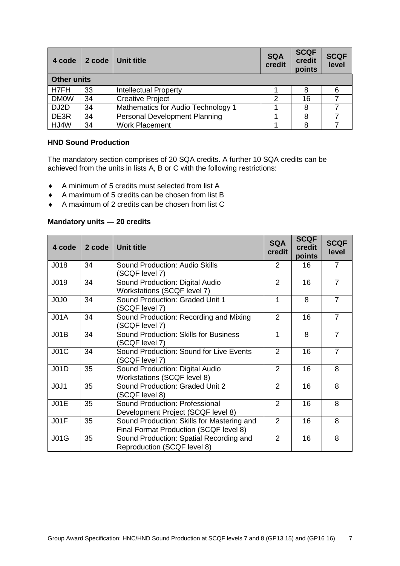| 4 code             | 2 code | Unit title                           | <b>SQA</b><br>credit | <b>SCQF</b><br>credit<br>points | <b>SCQF</b><br>level |
|--------------------|--------|--------------------------------------|----------------------|---------------------------------|----------------------|
| <b>Other units</b> |        |                                      |                      |                                 |                      |
| H7FH               | 33     | <b>Intellectual Property</b>         |                      |                                 |                      |
| <b>DM0W</b>        | 34     | <b>Creative Project</b>              | 2                    | 16                              |                      |
| DJ2D               | 34     | Mathematics for Audio Technology 1   |                      | 8                               |                      |
| DE3R               | 34     | <b>Personal Development Planning</b> |                      | 8                               |                      |
| HJ4W               | 34     | <b>Work Placement</b>                |                      | 8                               |                      |

#### **HND Sound Production**

The mandatory section comprises of 20 SQA credits. A further 10 SQA credits can be achieved from the units in lists A, B or C with the following restrictions:

- A minimum of 5 credits must selected from list A
- A maximum of 5 credits can be chosen from list B
- A maximum of 2 credits can be chosen from list C

#### **Mandatory units — 20 credits**

| 4 code                        | 2 code | <b>Unit title</b>                                                                    | <b>SQA</b><br>credit | <b>SCQF</b><br>credit<br>points | <b>SCQF</b><br>level |
|-------------------------------|--------|--------------------------------------------------------------------------------------|----------------------|---------------------------------|----------------------|
| J018                          | 34     | Sound Production: Audio Skills<br>(SCQF level 7)                                     | 2                    | 16                              | 7                    |
| J019                          | 34     | Sound Production: Digital Audio<br>Workstations (SCQF level 7)                       | $\overline{2}$       | 16                              | $\overline{7}$       |
| J0J0                          | 34     | Sound Production: Graded Unit 1<br>(SCQF level 7)                                    | 1                    | 8                               | $\overline{7}$       |
| J <sub>01A</sub>              | 34     | Sound Production: Recording and Mixing<br>(SCQF level 7)                             | $\overline{2}$       | 16                              | $\overline{7}$       |
| J01B                          | 34     | Sound Production: Skills for Business<br>(SCQF level 7)                              | 1                    | 8                               | $\overline{7}$       |
| J01C                          | 34     | Sound Production: Sound for Live Events<br>(SCQF level 7)                            | $\overline{2}$       | 16                              | $\overline{7}$       |
| J01D                          | 35     | Sound Production: Digital Audio<br><b>Workstations (SCQF level 8)</b>                | $\overline{2}$       | 16                              | 8                    |
| J <sub>0</sub> J <sub>1</sub> | 35     | Sound Production: Graded Unit 2<br>(SCQF level 8)                                    | $\overline{2}$       | 16                              | 8                    |
| JO1E                          | 35     | Sound Production: Professional<br>Development Project (SCQF level 8)                 | $\overline{2}$       | 16                              | 8                    |
| JO1F                          | 35     | Sound Production: Skills for Mastering and<br>Final Format Production (SCQF level 8) | $\overline{2}$       | 16                              | 8                    |
| <b>J01G</b>                   | 35     | Sound Production: Spatial Recording and<br>Reproduction (SCQF level 8)               | $\overline{2}$       | 16                              | 8                    |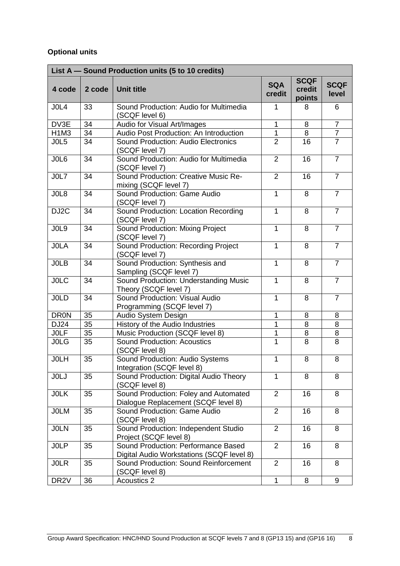### **Optional units**

|                               |        | List A - Sound Production units (5 to 10 credits)                                |                      |                                 |                      |
|-------------------------------|--------|----------------------------------------------------------------------------------|----------------------|---------------------------------|----------------------|
| 4 code                        | 2 code | <b>Unit title</b>                                                                | <b>SQA</b><br>credit | <b>SCQF</b><br>credit<br>points | <b>SCQF</b><br>level |
| JOL4                          | 33     | Sound Production: Audio for Multimedia<br>(SCQF level 6)                         | 1                    | 8                               | 6                    |
| DV3E                          | 34     | Audio for Visual Art/Images                                                      | $\mathbf{1}$         | 8                               | $\overline{7}$       |
| H <sub>1</sub> M <sub>3</sub> | 34     | Audio Post Production: An Introduction                                           | 1                    | 8                               | $\overline{7}$       |
| JOL5                          | 34     | Sound Production: Audio Electronics<br>(SCQF level 7)                            | $\overline{2}$       | 16                              | $\overline{7}$       |
| JOL6                          | 34     | Sound Production: Audio for Multimedia<br>(SCQF level 7)                         | $\overline{2}$       | 16                              | $\overline{7}$       |
| JOL7                          | 34     | Sound Production: Creative Music Re-<br>mixing (SCQF level 7)                    | $\overline{2}$       | 16                              | $\overline{7}$       |
| JOL8                          | 34     | Sound Production: Game Audio<br>(SCQF level 7)                                   | $\mathbf{1}$         | 8                               | $\overline{7}$       |
| DJ <sub>2</sub> C             | 34     | Sound Production: Location Recording<br>(SCQF level 7)                           | $\mathbf{1}$         | 8                               | $\overline{7}$       |
| JOL9                          | 34     | Sound Production: Mixing Project<br>(SCQF level 7)                               | 1                    | 8                               | $\overline{7}$       |
| <b>JOLA</b>                   | 34     | Sound Production: Recording Project<br>(SCQF level 7)                            | $\mathbf{1}$         | 8                               | $\overline{7}$       |
| <b>JOLB</b>                   | 34     | Sound Production: Synthesis and<br>Sampling (SCQF level 7)                       | $\mathbf{1}$         | 8                               | $\overline{7}$       |
| <b>JOLC</b>                   | 34     | Sound Production: Understanding Music<br>Theory (SCQF level 7)                   | $\mathbf{1}$         | 8                               | $\overline{7}$       |
| <b>JOLD</b>                   | 34     | Sound Production: Visual Audio<br>Programming (SCQF level 7)                     | $\mathbf{1}$         | 8                               | $\overline{7}$       |
| <b>DR0N</b>                   | 35     | Audio System Design                                                              | 1                    | 8                               | 8                    |
| <b>DJ24</b>                   | 35     | History of the Audio Industries                                                  | 1                    | 8                               | 8                    |
| <b>JOLF</b>                   | 35     | Music Production (SCQF level 8)                                                  | 1                    | 8                               | 8                    |
| <b>JOLG</b>                   | 35     | <b>Sound Production: Acoustics</b><br>(SCQF level 8)                             | $\overline{1}$       | 8                               | 8                    |
| <b>JOLH</b>                   | 35     | Sound Production: Audio Systems<br>Integration (SCQF level 8)                    | $\mathbf 1$          | 8                               | 8                    |
| <b>JOLJ</b>                   | 35     | Sound Production: Digital Audio Theory<br>(SCQF level 8)                         | $\mathbf{1}$         | 8                               | 8                    |
| <b>JOLK</b>                   | 35     | Sound Production: Foley and Automated<br>Dialogue Replacement (SCQF level 8)     | $\overline{2}$       | 16                              | 8                    |
| <b>JOLM</b>                   | 35     | Sound Production: Game Audio<br>(SCQF level 8)                                   | $\overline{2}$       | 16                              | 8                    |
| <b>JOLN</b>                   | 35     | Sound Production: Independent Studio<br>Project (SCQF level 8)                   | $\overline{2}$       | 16                              | 8                    |
| <b>JOLP</b>                   | 35     | Sound Production: Performance Based<br>Digital Audio Workstations (SCQF level 8) | $\overline{2}$       | 16                              | 8                    |
| <b>JOLR</b>                   | 35     | Sound Production: Sound Reinforcement<br>(SCQF level 8)                          | $\overline{2}$       | 16                              | 8                    |
| DR <sub>2V</sub>              | 36     | <b>Acoustics 2</b>                                                               | $\mathbf{1}$         | 8                               | 9                    |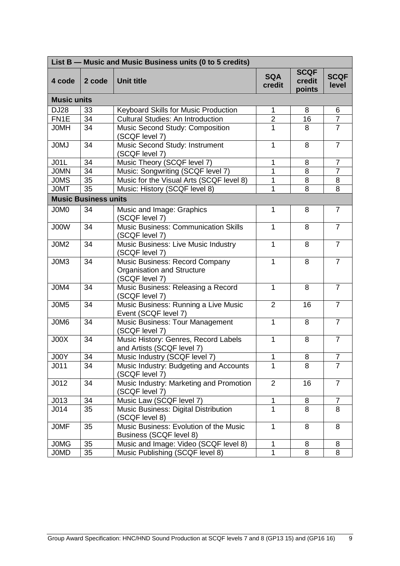|                    | List B - Music and Music Business units (0 to 5 credits) |                                                                                |                      |                                 |                      |  |  |  |  |  |  |  |  |
|--------------------|----------------------------------------------------------|--------------------------------------------------------------------------------|----------------------|---------------------------------|----------------------|--|--|--|--|--|--|--|--|
| 4 code             | 2 code                                                   | <b>Unit title</b>                                                              | <b>SQA</b><br>credit | <b>SCQF</b><br>credit<br>points | <b>SCQF</b><br>level |  |  |  |  |  |  |  |  |
| <b>Music units</b> |                                                          |                                                                                |                      |                                 |                      |  |  |  |  |  |  |  |  |
| <b>DJ28</b>        | 33                                                       | Keyboard Skills for Music Production                                           | $\mathbf{1}$         | 8                               | 6                    |  |  |  |  |  |  |  |  |
| FN <sub>1</sub> E  | 34                                                       | <b>Cultural Studies: An Introduction</b>                                       | $\overline{2}$       | 16                              | $\overline{7}$       |  |  |  |  |  |  |  |  |
| <b>JOMH</b>        | 34                                                       | Music Second Study: Composition<br>(SCQF level 7)                              | $\mathbf{1}$         | 8                               | $\overline{7}$       |  |  |  |  |  |  |  |  |
| <b>JOMJ</b>        | 34                                                       | Music Second Study: Instrument<br>(SCQF level 7)                               | $\mathbf{1}$         | 8                               | $\overline{7}$       |  |  |  |  |  |  |  |  |
| <b>J01L</b>        | 34                                                       | Music Theory (SCQF level 7)                                                    | 1                    | 8                               | $\overline{7}$       |  |  |  |  |  |  |  |  |
| <b>JOMN</b>        | 34                                                       | Music: Songwriting (SCQF level 7)                                              | 1                    | $\overline{8}$                  | $\overline{7}$       |  |  |  |  |  |  |  |  |
| <b>JOMS</b>        | 35                                                       | Music for the Visual Arts (SCQF level 8)                                       | 1                    | 8                               | 8                    |  |  |  |  |  |  |  |  |
| <b>JOMT</b>        | 35                                                       | Music: History (SCQF level 8)                                                  | 1                    | 8                               | 8                    |  |  |  |  |  |  |  |  |
|                    | <b>Music Business units</b>                              |                                                                                |                      |                                 |                      |  |  |  |  |  |  |  |  |
| J0M0               | 34                                                       | Music and Image: Graphics<br>(SCQF level 7)                                    | $\mathbf{1}$         | 8                               | $\overline{7}$       |  |  |  |  |  |  |  |  |
| J00W               | 34                                                       | <b>Music Business: Communication Skills</b><br>(SCQF level 7)                  | 1                    | 8                               | $\overline{7}$       |  |  |  |  |  |  |  |  |
| J0M2               | 34                                                       | Music Business: Live Music Industry<br>(SCQF level 7)                          | $\mathbf{1}$         | 8                               | $\overline{7}$       |  |  |  |  |  |  |  |  |
| J0M3               | 34                                                       | Music Business: Record Company<br>Organisation and Structure<br>(SCQF level 7) | $\mathbf{1}$         | 8                               | $\overline{7}$       |  |  |  |  |  |  |  |  |
| J0M4               | 34                                                       | Music Business: Releasing a Record<br>(SCQF level 7)                           | $\mathbf{1}$         | 8                               | $\overline{7}$       |  |  |  |  |  |  |  |  |
| J0M5               | 34                                                       | Music Business: Running a Live Music<br>Event (SCQF level 7)                   | $\overline{2}$       | 16                              | $\overline{7}$       |  |  |  |  |  |  |  |  |
| J0M6               | 34                                                       | <b>Music Business: Tour Management</b><br>(SCQF level 7)                       | $\mathbf{1}$         | 8                               | $\overline{7}$       |  |  |  |  |  |  |  |  |
| JOOK               | 34                                                       | Music History: Genres, Record Labels<br>and Artists (SCQF level 7)             | 1                    | 8                               | $\overline{7}$       |  |  |  |  |  |  |  |  |
| <b>J00Y</b>        | $\overline{34}$                                          | Music Industry (SCQF level 7)                                                  | Ί                    | $\overline{8}$                  | ſ                    |  |  |  |  |  |  |  |  |
| J011               | 34                                                       | Music Industry: Budgeting and Accounts<br>(SCQF level 7)                       | $\mathbf{1}$         | 8                               | $\overline{7}$       |  |  |  |  |  |  |  |  |
| J <sub>012</sub>   | 34                                                       | Music Industry: Marketing and Promotion<br>(SCQF level 7)                      | 2                    | 16                              | $\overline{7}$       |  |  |  |  |  |  |  |  |
| J013               | 34                                                       | Music Law (SCQF level 7)                                                       | $\mathbf{1}$         | 8                               | $\overline{7}$       |  |  |  |  |  |  |  |  |
| J <sub>014</sub>   | 35                                                       | Music Business: Digital Distribution<br>(SCQF level 8)                         | 1                    | 8                               | 8                    |  |  |  |  |  |  |  |  |
| <b>JOMF</b>        | 35                                                       | Music Business: Evolution of the Music<br><b>Business (SCQF level 8)</b>       | 1                    | 8                               | 8                    |  |  |  |  |  |  |  |  |
| <b>JOMG</b>        | 35                                                       | Music and Image: Video (SCQF level 8)                                          | $\mathbf{1}$         | 8                               | 8                    |  |  |  |  |  |  |  |  |
| <b>JOMD</b>        | 35                                                       | Music Publishing (SCQF level 8)                                                | 1                    | 8                               | 8                    |  |  |  |  |  |  |  |  |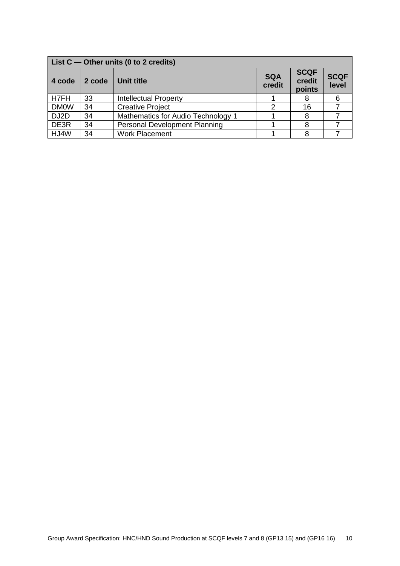|                   | List $C$ — Other units (0 to 2 credits) |                                      |                      |                                 |                      |  |  |  |  |  |  |  |
|-------------------|-----------------------------------------|--------------------------------------|----------------------|---------------------------------|----------------------|--|--|--|--|--|--|--|
| 4 code            | 2 code                                  | Unit title                           | <b>SQA</b><br>credit | <b>SCQF</b><br>credit<br>points | <b>SCQF</b><br>level |  |  |  |  |  |  |  |
| H7FH              | 33                                      | <b>Intellectual Property</b>         |                      | 8                               |                      |  |  |  |  |  |  |  |
| <b>DM0W</b>       | 34                                      | <b>Creative Project</b>              | າ                    | 16                              |                      |  |  |  |  |  |  |  |
| DJ <sub>2</sub> D | 34                                      | Mathematics for Audio Technology 1   |                      | 8                               |                      |  |  |  |  |  |  |  |
| DE3R              | 34                                      | <b>Personal Development Planning</b> |                      |                                 |                      |  |  |  |  |  |  |  |
| HJ4W              | 34                                      | <b>Work Placement</b>                |                      |                                 |                      |  |  |  |  |  |  |  |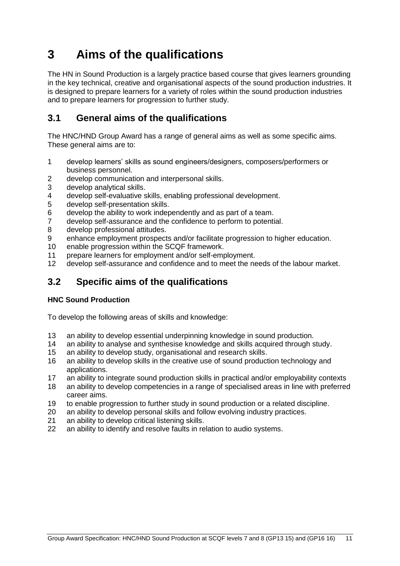## <span id="page-12-0"></span>**3 Aims of the qualifications**

The HN in Sound Production is a largely practice based course that gives learners grounding in the key technical, creative and organisational aspects of the sound production industries. It is designed to prepare learners for a variety of roles within the sound production industries and to prepare learners for progression to further study.

## <span id="page-12-1"></span>**3.1 General aims of the qualifications**

The HNC/HND Group Award has a range of general aims as well as some specific aims. These general aims are to:

- 1 develop learners' skills as sound engineers/designers, composers/performers or business personnel.
- 2 develop communication and interpersonal skills.
- 3 develop analytical skills.<br>4 develop self-evaluative s
- 4 develop self-evaluative skills, enabling professional development.<br>5 develop self-presentation skills.
- develop self-presentation skills.
- 6 develop the ability to work independently and as part of a team.
- 7 develop self-assurance and the confidence to perform to potential.
- 8 develop professional attitudes.
- 9 enhance employment prospects and/or facilitate progression to higher education.
- 10 enable progression within the SCQF framework.
- 11 prepare learners for employment and/or self-employment.<br>12 develop self-assurance and confidence and to meet the ne
- develop self-assurance and confidence and to meet the needs of the labour market.

## <span id="page-12-2"></span>**3.2 Specific aims of the qualifications**

#### **HNC Sound Production**

To develop the following areas of skills and knowledge:

- 13 an ability to develop essential underpinning knowledge in sound production.
- 14 an ability to analyse and synthesise knowledge and skills acquired through study.
- 15 an ability to develop study, organisational and research skills.
- 16 an ability to develop skills in the creative use of sound production technology and applications.
- 17 an ability to integrate sound production skills in practical and/or employability contexts
- 18 an ability to develop competencies in a range of specialised areas in line with preferred career aims.
- 19 to enable progression to further study in sound production or a related discipline.
- 20 an ability to develop personal skills and follow evolving industry practices.
- 21 an ability to develop critical listening skills.
- 22 an ability to identify and resolve faults in relation to audio systems.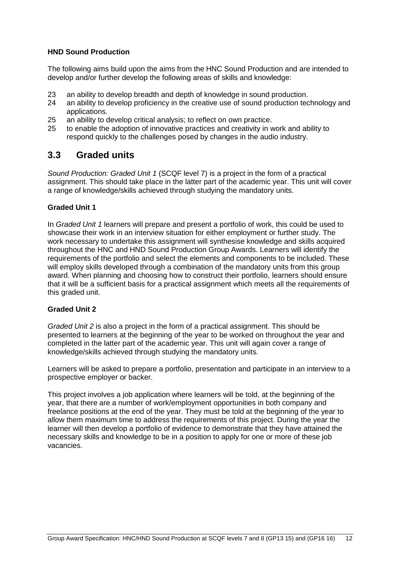#### **HND Sound Production**

The following aims build upon the aims from the HNC Sound Production and are intended to develop and/or further develop the following areas of skills and knowledge:

- 23 an ability to develop breadth and depth of knowledge in sound production.<br>24 an ability to develop proficiency in the creative use of sound production tec
- an ability to develop proficiency in the creative use of sound production technology and applications.
- 25 an ability to develop critical analysis; to reflect on own practice.
- 25 to enable the adoption of innovative practices and creativity in work and ability to respond quickly to the challenges posed by changes in the audio industry.

### <span id="page-13-0"></span>**3.3 Graded units**

*Sound Production: Graded Unit 1* (SCQF level 7) is a project in the form of a practical assignment. This should take place in the latter part of the academic year. This unit will cover a range of knowledge/skills achieved through studying the mandatory units.

#### **Graded Unit 1**

In *Graded Unit 1* learners will prepare and present a portfolio of work, this could be used to showcase their work in an interview situation for either employment or further study. The work necessary to undertake this assignment will synthesise knowledge and skills acquired throughout the HNC and HND Sound Production Group Awards. Learners will identify the requirements of the portfolio and select the elements and components to be included. These will employ skills developed through a combination of the mandatory units from this group award. When planning and choosing how to construct their portfolio, learners should ensure that it will be a sufficient basis for a practical assignment which meets all the requirements of this graded unit.

#### **Graded Unit 2**

*Graded Unit 2* is also a project in the form of a practical assignment. This should be presented to learners at the beginning of the year to be worked on throughout the year and completed in the latter part of the academic year. This unit will again cover a range of knowledge/skills achieved through studying the mandatory units.

Learners will be asked to prepare a portfolio, presentation and participate in an interview to a prospective employer or backer.

This project involves a job application where learners will be told, at the beginning of the year, that there are a number of work/employment opportunities in both company and freelance positions at the end of the year. They must be told at the beginning of the year to allow them maximum time to address the requirements of this project. During the year the learner will then develop a portfolio of evidence to demonstrate that they have attained the necessary skills and knowledge to be in a position to apply for one or more of these job vacancies.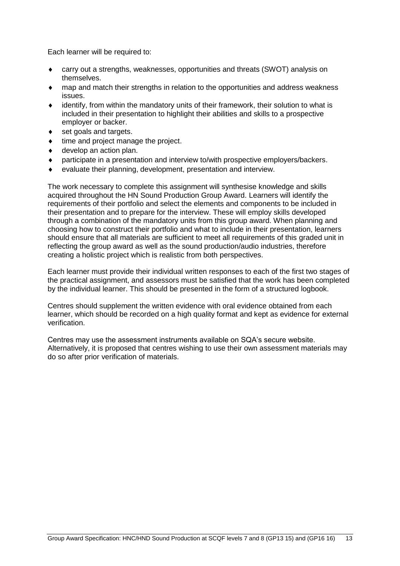Each learner will be required to:

- carry out a strengths, weaknesses, opportunities and threats (SWOT) analysis on themselves.
- map and match their strengths in relation to the opportunities and address weakness issues.
- $\bullet$  identify, from within the mandatory units of their framework, their solution to what is included in their presentation to highlight their abilities and skills to a prospective employer or backer.
- set goals and targets.
- $\bullet$  time and project manage the project.
- develop an action plan.
- participate in a presentation and interview to/with prospective employers/backers.
- evaluate their planning, development, presentation and interview.

The work necessary to complete this assignment will synthesise knowledge and skills acquired throughout the HN Sound Production Group Award. Learners will identify the requirements of their portfolio and select the elements and components to be included in their presentation and to prepare for the interview. These will employ skills developed through a combination of the mandatory units from this group award. When planning and choosing how to construct their portfolio and what to include in their presentation, learners should ensure that all materials are sufficient to meet all requirements of this graded unit in reflecting the group award as well as the sound production/audio industries, therefore creating a holistic project which is realistic from both perspectives.

Each learner must provide their individual written responses to each of the first two stages of the practical assignment, and assessors must be satisfied that the work has been completed by the individual learner. This should be presented in the form of a structured logbook.

Centres should supplement the written evidence with oral evidence obtained from each learner, which should be recorded on a high quality format and kept as evidence for external verification.

Centres may use the assessment instruments available on SQA's secure website. Alternatively, it is proposed that centres wishing to use their own assessment materials may do so after prior verification of materials.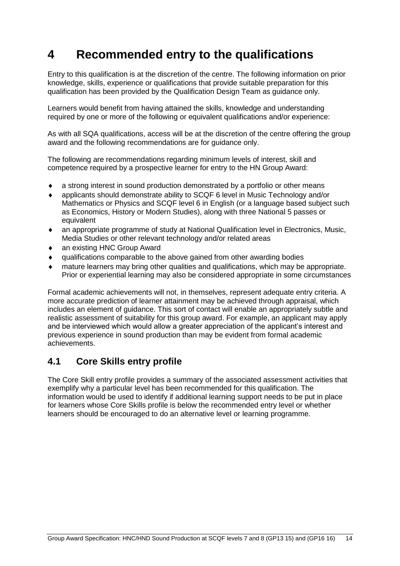## <span id="page-15-0"></span>**4 Recommended entry to the qualifications**

Entry to this qualification is at the discretion of the centre. The following information on prior knowledge, skills, experience or qualifications that provide suitable preparation for this qualification has been provided by the Qualification Design Team as guidance only.

Learners would benefit from having attained the skills, knowledge and understanding required by one or more of the following or equivalent qualifications and/or experience:

As with all SQA qualifications, access will be at the discretion of the centre offering the group award and the following recommendations are for guidance only.

The following are recommendations regarding minimum levels of interest, skill and competence required by a prospective learner for entry to the HN Group Award:

- a strong interest in sound production demonstrated by a portfolio or other means
- applicants should demonstrate ability to SCQF 6 level in Music Technology and/or Mathematics or Physics and SCQF level 6 in English (or a language based subject such as Economics, History or Modern Studies), along with three National 5 passes or equivalent
- an appropriate programme of study at National Qualification level in Electronics, Music, Media Studies or other relevant technology and/or related areas
- ◆ an existing HNC Group Award
- qualifications comparable to the above gained from other awarding bodies
- mature learners may bring other qualities and qualifications, which may be appropriate. Prior or experiential learning may also be considered appropriate in some circumstances

Formal academic achievements will not, in themselves, represent adequate entry criteria. A more accurate prediction of learner attainment may be achieved through appraisal, which includes an element of guidance. This sort of contact will enable an appropriately subtle and realistic assessment of suitability for this group award. For example, an applicant may apply and be interviewed which would allow a greater appreciation of the applicant's interest and previous experience in sound production than may be evident from formal academic achievements.

### <span id="page-15-1"></span>**4.1 Core Skills entry profile**

The Core Skill entry profile provides a summary of the associated assessment activities that exemplify why a particular level has been recommended for this qualification. The information would be used to identify if additional learning support needs to be put in place for learners whose Core Skills profile is below the recommended entry level or whether learners should be encouraged to do an alternative level or learning programme.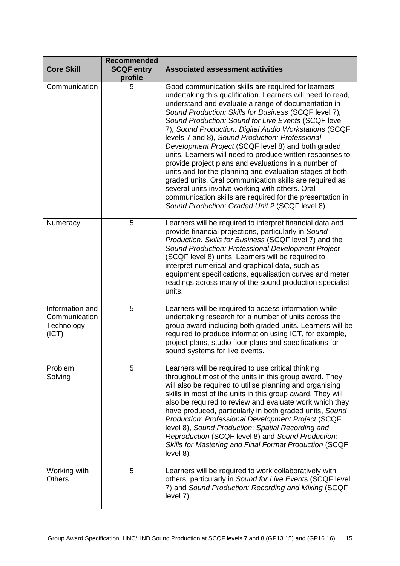| <b>Core Skill</b>                                       | <b>Recommended</b><br><b>SCQF entry</b><br>profile | <b>Associated assessment activities</b>                                                                                                                                                                                                                                                                                                                                                                                                                                                                                                                                                                                                                                                                                                                                                                                                                                     |
|---------------------------------------------------------|----------------------------------------------------|-----------------------------------------------------------------------------------------------------------------------------------------------------------------------------------------------------------------------------------------------------------------------------------------------------------------------------------------------------------------------------------------------------------------------------------------------------------------------------------------------------------------------------------------------------------------------------------------------------------------------------------------------------------------------------------------------------------------------------------------------------------------------------------------------------------------------------------------------------------------------------|
| Communication                                           | 5                                                  | Good communication skills are required for learners<br>undertaking this qualification. Learners will need to read,<br>understand and evaluate a range of documentation in<br>Sound Production: Skills for Business (SCQF level 7),<br>Sound Production: Sound for Live Events (SCQF level<br>7), Sound Production: Digital Audio Workstations (SCQF<br>levels 7 and 8), Sound Production: Professional<br>Development Project (SCQF level 8) and both graded<br>units. Learners will need to produce written responses to<br>provide project plans and evaluations in a number of<br>units and for the planning and evaluation stages of both<br>graded units. Oral communication skills are required as<br>several units involve working with others. Oral<br>communication skills are required for the presentation in<br>Sound Production: Graded Unit 2 (SCQF level 8). |
| Numeracy                                                | 5                                                  | Learners will be required to interpret financial data and<br>provide financial projections, particularly in Sound<br>Production: Skills for Business (SCQF level 7) and the<br>Sound Production: Professional Development Project<br>(SCQF level 8) units. Learners will be required to<br>interpret numerical and graphical data, such as<br>equipment specifications, equalisation curves and meter<br>readings across many of the sound production specialist<br>units.                                                                                                                                                                                                                                                                                                                                                                                                  |
| Information and<br>Communication<br>Technology<br>(ICT) | 5                                                  | Learners will be required to access information while<br>undertaking research for a number of units across the<br>group award including both graded units. Learners will be<br>required to produce information using ICT, for example,<br>project plans, studio floor plans and specifications for<br>sound systems for live events.                                                                                                                                                                                                                                                                                                                                                                                                                                                                                                                                        |
| Problem<br>Solving                                      | 5                                                  | Learners will be required to use critical thinking<br>throughout most of the units in this group award. They<br>will also be required to utilise planning and organising<br>skills in most of the units in this group award. They will<br>also be required to review and evaluate work which they<br>have produced, particularly in both graded units, Sound<br><b>Production: Professional Development Project (SCQF</b><br>level 8), Sound Production: Spatial Recording and<br>Reproduction (SCQF level 8) and Sound Production:<br>Skills for Mastering and Final Format Production (SCQF<br>$level 8$ ).                                                                                                                                                                                                                                                               |
| Working with<br><b>Others</b>                           | 5                                                  | Learners will be required to work collaboratively with<br>others, particularly in Sound for Live Events (SCQF level<br>7) and Sound Production: Recording and Mixing (SCQF<br>level 7).                                                                                                                                                                                                                                                                                                                                                                                                                                                                                                                                                                                                                                                                                     |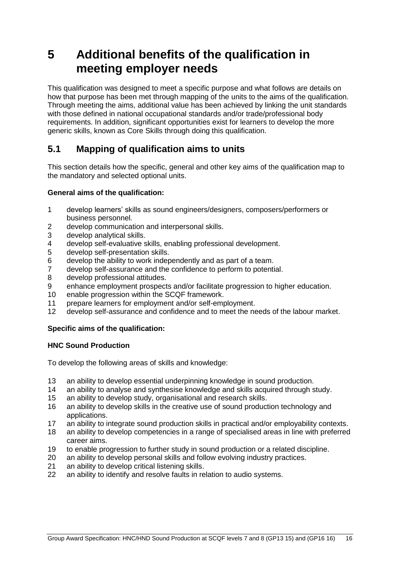## <span id="page-17-0"></span>**5 Additional benefits of the qualification in meeting employer needs**

This qualification was designed to meet a specific purpose and what follows are details on how that purpose has been met through mapping of the units to the aims of the qualification. Through meeting the aims, additional value has been achieved by linking the unit standards with those defined in national occupational standards and/or trade/professional body requirements. In addition, significant opportunities exist for learners to develop the more generic skills, known as Core Skills through doing this qualification.

## <span id="page-17-1"></span>**5.1 Mapping of qualification aims to units**

This section details how the specific, general and other key aims of the qualification map to the mandatory and selected optional units.

#### **General aims of the qualification:**

- 1 develop learners' skills as sound engineers/designers, composers/performers or business personnel.
- 2 develop communication and interpersonal skills.
- 3 develop analytical skills.
- 4 develop self-evaluative skills, enabling professional development.<br>5 develop self-presentation skills.
- develop self-presentation skills.
- 6 develop the ability to work independently and as part of a team.
- 7 develop self-assurance and the confidence to perform to potential.
- 8 develop professional attitudes.
- 9 enhance employment prospects and/or facilitate progression to higher education.
- 10 enable progression within the SCQF framework.
- 11 prepare learners for employment and/or self-employment.
- 12 develop self-assurance and confidence and to meet the needs of the labour market.

#### **Specific aims of the qualification:**

#### **HNC Sound Production**

To develop the following areas of skills and knowledge:

- 13 an ability to develop essential underpinning knowledge in sound production.
- 14 an ability to analyse and synthesise knowledge and skills acquired through study.
- 15 an ability to develop study, organisational and research skills.
- 16 an ability to develop skills in the creative use of sound production technology and applications.
- 17 an ability to integrate sound production skills in practical and/or employability contexts.
- 18 an ability to develop competencies in a range of specialised areas in line with preferred career aims.
- 19 to enable progression to further study in sound production or a related discipline.
- 20 an ability to develop personal skills and follow evolving industry practices.
- 21 an ability to develop critical listening skills.
- 22 an ability to identify and resolve faults in relation to audio systems.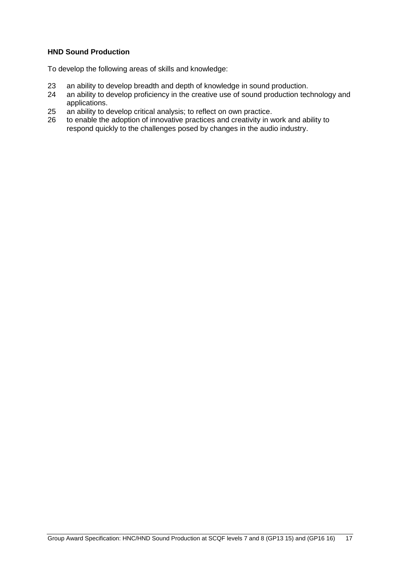#### **HND Sound Production**

To develop the following areas of skills and knowledge:

- 23 an ability to develop breadth and depth of knowledge in sound production.<br>24 an ability to develop proficiency in the creative use of sound production tec
- an ability to develop proficiency in the creative use of sound production technology and applications.
- 25 an ability to develop critical analysis; to reflect on own practice.<br>26 to enable the adoption of innovative practices and creativity in w
- to enable the adoption of innovative practices and creativity in work and ability to respond quickly to the challenges posed by changes in the audio industry.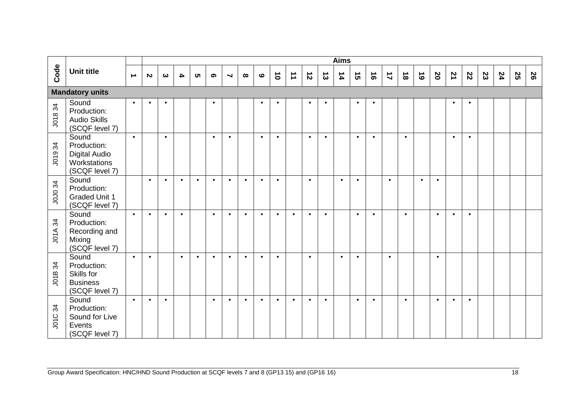|            |                                                                                                          |                  |           |           |                  |           |           |                      |           |           |                 |                      |           |                | <b>Aims</b> |           |           |                |           |           |              |                |                         |    |    |    |   |
|------------|----------------------------------------------------------------------------------------------------------|------------------|-----------|-----------|------------------|-----------|-----------|----------------------|-----------|-----------|-----------------|----------------------|-----------|----------------|-------------|-----------|-----------|----------------|-----------|-----------|--------------|----------------|-------------------------|----|----|----|---|
| Code       | <b>Unit title</b>                                                                                        | $\blacktriangle$ | N         | ω         | $\blacktriangle$ | <b>ທ</b>  | ග         | $\blacktriangleleft$ | $\infty$  | $\bullet$ | $\vec{\bullet}$ | $\overrightarrow{1}$ | $\vec{v}$ | $\vec{\omega}$ | 14          | ີຕ        | $\vec{0}$ | $\overline{1}$ | $\vec{8}$ | $\vec{6}$ | $\mathbf{S}$ | $\overline{z}$ | $\overline{\mathbf{c}}$ | 23 | 24 | S2 | 8 |
|            | <b>Mandatory units</b>                                                                                   |                  |           |           |                  |           |           |                      |           |           |                 |                      |           |                |             |           |           |                |           |           |              |                |                         |    |    |    |   |
| J01834     | Sound<br>Production:<br><b>Audio Skills</b><br>(SCQF level 7)                                            | $\bullet$        | $\bullet$ | $\bullet$ |                  |           | $\bullet$ |                      |           | $\bullet$ | $\bullet$       |                      | $\bullet$ | $\bullet$      |             | $\bullet$ | $\bullet$ |                |           |           |              | $\bullet$      | $\bullet$               |    |    |    |   |
| J01934     | Sound<br>Production:<br><b>Digital Audio</b><br>Workstations<br>(SCQF level 7)                           | $\bullet$        |           | $\bullet$ |                  |           | $\bullet$ | $\bullet$            |           | $\bullet$ | $\bullet$       |                      | $\bullet$ | $\bullet$      |             | $\bullet$ | $\bullet$ |                | $\bullet$ |           |              | $\bullet$      | $\bullet$               |    |    |    |   |
| JOJ0 34    | Sound<br>Production:<br><b>Graded Unit 1</b><br>(SCQF level 7)                                           |                  | $\bullet$ | $\bullet$ | $\bullet$        | $\bullet$ | $\bullet$ | $\bullet$            | $\bullet$ | $\bullet$ | $\bullet$       |                      | $\bullet$ |                | $\bullet$   | $\bullet$ |           | $\bullet$      |           | $\bullet$ | $\bullet$    |                |                         |    |    |    |   |
| 34<br>JO1A | Sound<br>Production:<br>Recording and<br>Mixing<br>(SCQF level 7)                                        | $\bullet$        | $\bullet$ | $\bullet$ | $\bullet$        |           | $\bullet$ | $\bullet$            | $\bullet$ | $\bullet$ | $\bullet$       | $\bullet$            | $\bullet$ | $\bullet$      |             | $\bullet$ | $\bullet$ |                | $\bullet$ |           | $\bullet$    | $\bullet$      | $\bullet$               |    |    |    |   |
| 34<br>J01B | Sound<br>Production:<br>Skills for<br><b>Business</b><br>(SCQF level 7)                                  | $\bullet$        | $\bullet$ |           | $\bullet$        | $\bullet$ | $\bullet$ | $\bullet$            | $\bullet$ | $\bullet$ | $\bullet$       |                      | $\bullet$ |                | $\bullet$   | $\bullet$ |           | $\bullet$      |           |           | $\bullet$    |                |                         |    |    |    |   |
| 34<br>JO1C | Sound<br>Production:<br>Sound for Live<br>Events<br>(SCQF level 7)                                       | $\bullet$        | $\bullet$ | $\bullet$ |                  |           | $\bullet$ | $\bullet$            | $\bullet$ | $\bullet$ | $\bullet$       | $\bullet$            | $\bullet$ | $\bullet$      |             | $\bullet$ | $\bullet$ |                | $\bullet$ |           | $\bullet$    | $\bullet$      | $\bullet$               |    |    |    |   |
|            | Group Award Specification: HNC/HND Sound Production at SCQF levels 7 and 8 (GP13 15) and (GP16 16)<br>18 |                  |           |           |                  |           |           |                      |           |           |                 |                      |           |                |             |           |           |                |           |           |              |                |                         |    |    |    |   |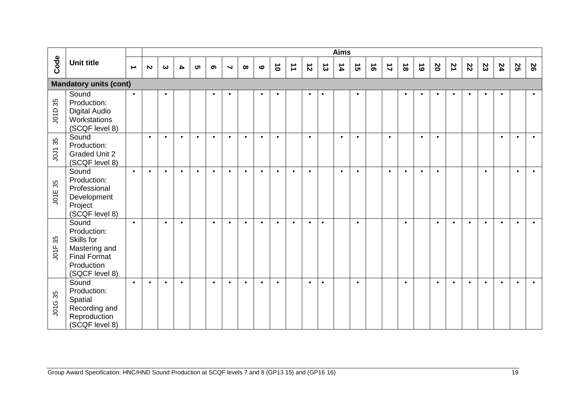|                |                                                                                                            |                  |              |           |                  |           |           |                      |           |           |           |                      |           |           | <b>Aims</b> |           |           |                |           |           |                         |                |                         |           |           |           |           |
|----------------|------------------------------------------------------------------------------------------------------------|------------------|--------------|-----------|------------------|-----------|-----------|----------------------|-----------|-----------|-----------|----------------------|-----------|-----------|-------------|-----------|-----------|----------------|-----------|-----------|-------------------------|----------------|-------------------------|-----------|-----------|-----------|-----------|
| Code           | <b>Unit title</b>                                                                                          | $\blacktriangle$ | $\mathbf{v}$ | ယ         | $\blacktriangle$ | <b>ပာ</b> | ග         | $\blacktriangleleft$ | $\infty$  | $\bullet$ | $\vec{0}$ | $\overrightarrow{ }$ | $\vec{v}$ | $\vec{3}$ | 14          | ີຕ        | $\vec{e}$ | $\overline{1}$ | $\vec{8}$ | $\vec{6}$ | $\overline{\mathbf{c}}$ | $\overline{z}$ | $\overline{\mathbf{c}}$ | 23        | 24        | S2        | 8         |
|                | <b>Mandatory units (cont)</b>                                                                              |                  |              |           |                  |           |           |                      |           |           |           |                      |           |           |             |           |           |                |           |           |                         |                |                         |           |           |           |           |
| 35<br>JO1D     | Sound<br>Production:<br><b>Digital Audio</b><br>Workstations<br>(SCQF level 8)                             | $\bullet$        |              | $\bullet$ |                  |           | $\bullet$ | $\bullet$            |           | $\bullet$ | $\bullet$ |                      | $\bullet$ | $\bullet$ |             | $\bullet$ |           |                | $\bullet$ | $\bullet$ | $\bullet$               | $\bullet$      | $\bullet$               | $\bullet$ | $\bullet$ |           | $\bullet$ |
| <b>JOJ135</b>  | Sound<br>Production:<br><b>Graded Unit 2</b><br>(SCQF level 8)                                             |                  | $\bullet$    | $\bullet$ | $\bullet$        | $\bullet$ | $\bullet$ | $\bullet$            | $\bullet$ | $\bullet$ | $\bullet$ |                      | $\bullet$ |           | $\bullet$   | $\bullet$ |           | $\bullet$      |           | $\bullet$ | $\bullet$               |                |                         |           | $\bullet$ | $\bullet$ | $\bullet$ |
| J01E 35        | Sound<br>Production:<br>Professional<br>Development<br>Project<br>(SCQF level 8)                           | $\bullet$        | $\bullet$    | $\bullet$ | $\bullet$        | $\bullet$ | $\bullet$ | $\bullet$            | $\bullet$ | $\bullet$ | $\bullet$ | $\bullet$            | $\bullet$ |           | $\bullet$   | $\bullet$ |           | $\bullet$      | $\bullet$ | $\bullet$ | $\bullet$               |                |                         | $\bullet$ |           | $\bullet$ | $\bullet$ |
| 35<br>JOTF     | Sound<br>Production:<br>Skills for<br>Mastering and<br><b>Final Format</b><br>Production<br>(SQCF level 8) | $\bullet$        |              | $\bullet$ | $\bullet$        |           | $\bullet$ | $\bullet$            | $\bullet$ | $\bullet$ | $\bullet$ | $\bullet$            | $\bullet$ | $\bullet$ |             | $\bullet$ |           |                | $\bullet$ |           | $\bullet$               | $\bullet$      | $\bullet$               | $\bullet$ | $\bullet$ | $\bullet$ | $\bullet$ |
| <b>JO1G 35</b> | Sound<br>Production:<br>Spatial<br>Recording and<br>Reproduction<br>(SCQF level 8)                         | $\bullet$        | $\bullet$    | $\bullet$ | $\bullet$        |           | $\bullet$ | $\bullet$            | $\bullet$ | $\bullet$ | $\bullet$ |                      | $\bullet$ | $\bullet$ |             | $\bullet$ |           |                | $\bullet$ |           | $\bullet$               | $\bullet$      | $\bullet$               | $\bullet$ | $\bullet$ | $\bullet$ | $\bullet$ |
|                | Group Award Specification: HNC/HND Sound Production at SCQF levels 7 and 8 (GP13 15) and (GP16 16)         |                  |              |           |                  |           |           |                      |           |           |           |                      |           |           |             |           |           |                |           |           |                         |                |                         |           |           | 19        |           |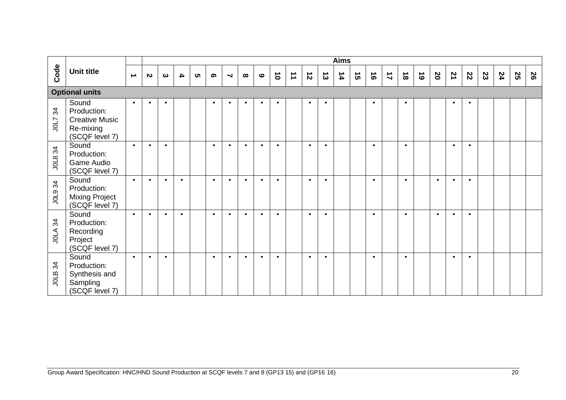|                    |                                                                                                    |                  |                       |           |                  |          |                       |                          |           |               |                 |                      |           |           | <b>Aims</b>   |    |           |                      |           |           |                  |                |                         |    |    |                 |   |
|--------------------|----------------------------------------------------------------------------------------------------|------------------|-----------------------|-----------|------------------|----------|-----------------------|--------------------------|-----------|---------------|-----------------|----------------------|-----------|-----------|---------------|----|-----------|----------------------|-----------|-----------|------------------|----------------|-------------------------|----|----|-----------------|---|
| Code               | <b>Unit title</b>                                                                                  | $\blacktriangle$ | $\boldsymbol{\omega}$ | ယ         | $\blacktriangle$ | <b>ທ</b> | $\boldsymbol{\sigma}$ | $\overline{\phantom{0}}$ | $\infty$  | $\pmb{\circ}$ | $\vec{\bullet}$ | $\overrightarrow{ }$ | $\vec{z}$ | $\vec{3}$ | $\frac{1}{4}$ | ີຕ | $\vec{e}$ | $\overrightarrow{L}$ | $\vec{8}$ | $\vec{6}$ | $\boldsymbol{8}$ | $\overline{z}$ | $\overline{\mathbf{c}}$ | 23 | 24 | SS              | 8 |
|                    | <b>Optional units</b>                                                                              |                  |                       |           |                  |          |                       |                          |           |               |                 |                      |           |           |               |    |           |                      |           |           |                  |                |                         |    |    |                 |   |
| 34<br><b>710L7</b> | Sound<br>Production:<br><b>Creative Music</b><br>Re-mixing<br>(SCQF level 7)                       | $\bullet$        | $\bullet$             | $\bullet$ |                  |          | $\bullet$             | $\bullet$                | $\bullet$ | $\bullet$     | $\bullet$       |                      | $\bullet$ | $\bullet$ |               |    | $\bullet$ |                      | $\bullet$ |           |                  | $\bullet$      | $\bullet$               |    |    |                 |   |
| JOL8 34            | Sound<br>Production:<br>Game Audio<br>(SCQF level 7)                                               | $\bullet$        | $\bullet$             | $\bullet$ |                  |          | $\bullet$             | $\bullet$                | $\bullet$ | $\bullet$     | $\bullet$       |                      | $\bullet$ | $\bullet$ |               |    | $\bullet$ |                      | $\bullet$ |           |                  | $\bullet$      | $\bullet$               |    |    |                 |   |
| J0L9 34            | Sound<br>Production:<br><b>Mixing Project</b><br>(SCQF level 7)                                    | $\bullet$        | $\bullet$             | $\bullet$ | $\bullet$        |          | $\bullet$             | $\bullet$                | $\bullet$ | $\bullet$     | $\bullet$       |                      | $\bullet$ | $\bullet$ |               |    | $\bullet$ |                      | $\bullet$ |           | $\bullet$        | $\bullet$      | $\bullet$               |    |    |                 |   |
| <b>JOLA 34</b>     | Sound<br>Production:<br>Recording<br>Project<br>(SCQF level 7)                                     | $\bullet$        | $\bullet$             | $\bullet$ | $\bullet$        |          | $\bullet$             | $\bullet$                | $\bullet$ | $\bullet$     | $\bullet$       |                      | $\bullet$ | $\bullet$ |               |    | $\bullet$ |                      | $\bullet$ |           | $\bullet$        | $\bullet$      | $\bullet$               |    |    |                 |   |
| 34<br>JOLB         | Sound<br>Production:<br>Synthesis and<br>Sampling<br>(SCQF level 7)                                | $\bullet$        | $\bullet$             | $\bullet$ |                  |          | $\bullet$             | $\bullet$                | $\bullet$ | $\bullet$     | $\bullet$       |                      | $\bullet$ | $\bullet$ |               |    | $\bullet$ |                      | $\bullet$ |           |                  | $\bullet$      | $\bullet$               |    |    |                 |   |
|                    | Group Award Specification: HNC/HND Sound Production at SCQF levels 7 and 8 (GP13 15) and (GP16 16) |                  |                       |           |                  |          |                       |                          |           |               |                 |                      |           |           |               |    |           |                      |           |           |                  |                |                         |    |    | $\overline{20}$ |   |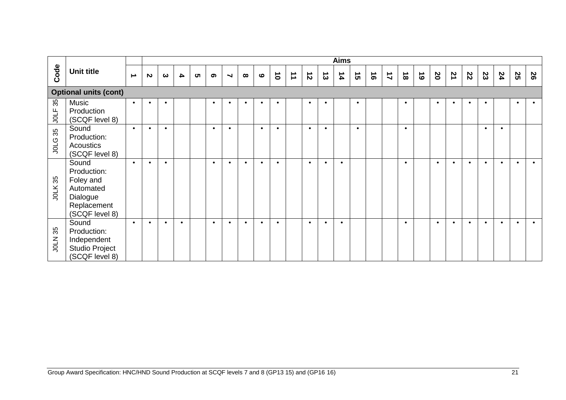|                |                                                                                                    |                  |              |                       |                  |   |           |                       |           |           |                 |                      |           |                | <b>Aims</b>   |           |           |                |           |           |              |           |              |           |           |                 |           |
|----------------|----------------------------------------------------------------------------------------------------|------------------|--------------|-----------------------|------------------|---|-----------|-----------------------|-----------|-----------|-----------------|----------------------|-----------|----------------|---------------|-----------|-----------|----------------|-----------|-----------|--------------|-----------|--------------|-----------|-----------|-----------------|-----------|
| Code           | <b>Unit title</b>                                                                                  | $\blacktriangle$ | $\mathbf{v}$ | $\boldsymbol{\omega}$ | $\blacktriangle$ | ហ | ග         | $\blacktriangleright$ | $\infty$  | $\bullet$ | $\vec{\bullet}$ | $\overrightarrow{ }$ | $\vec{v}$ | $\vec{\omega}$ | $\frac{1}{4}$ | ີຕ        | $\vec{e}$ | $\overline{1}$ | $\vec{8}$ | $\vec{6}$ | $\mathbf{S}$ | 71        | $\mathbf{z}$ | 23        | 24        | SS              | 92        |
|                | <b>Optional units (cont)</b>                                                                       |                  |              |                       |                  |   |           |                       |           |           |                 |                      |           |                |               |           |           |                |           |           |              |           |              |           |           |                 |           |
| 35<br>JOLF     | <b>Music</b><br>Production<br>(SCQF level 8)                                                       | $\bullet$        | $\bullet$    | $\bullet$             |                  |   | $\bullet$ | $\bullet$             | $\bullet$ | $\bullet$ | $\bullet$       |                      | $\bullet$ | $\bullet$      |               | $\bullet$ |           |                | $\bullet$ |           | $\bullet$    | $\bullet$ | $\bullet$    | $\bullet$ |           | $\bullet$       | $\bullet$ |
| <b>JOLG 35</b> | Sound<br>Production:<br>Acoustics<br>(SCQF level 8)                                                | $\bullet$        | $\bullet$    | $\bullet$             |                  |   | $\bullet$ | $\bullet$             |           | $\bullet$ | $\bullet$       |                      | $\bullet$ | $\bullet$      |               | $\bullet$ |           |                | $\bullet$ |           |              |           |              | $\bullet$ | $\bullet$ |                 |           |
| <b>JOLK 35</b> | Sound<br>Production:<br>Foley and<br>Automated<br>Dialogue<br>Replacement<br>(SCQF level 8)        | $\bullet$        | $\bullet$    | $\bullet$             |                  |   | $\bullet$ | $\bullet$             | $\bullet$ | $\bullet$ | $\bullet$       |                      | $\bullet$ | $\bullet$      | $\bullet$     |           |           |                | $\bullet$ |           | $\bullet$    | $\bullet$ | $\bullet$    | $\bullet$ | $\bullet$ | $\bullet$       | $\bullet$ |
| <b>JOLN 35</b> | Sound<br>Production:<br>Independent<br><b>Studio Project</b><br>(SCQF level 8)                     | $\bullet$        | $\bullet$    | $\bullet$             | $\bullet$        |   | $\bullet$ | $\bullet$             | $\bullet$ | $\bullet$ | $\bullet$       |                      | $\bullet$ | $\bullet$      | $\bullet$     |           |           |                | $\bullet$ |           | $\bullet$    | $\bullet$ | $\bullet$    | $\bullet$ | $\bullet$ | $\bullet$       | $\bullet$ |
|                |                                                                                                    |                  |              |                       |                  |   |           |                       |           |           |                 |                      |           |                |               |           |           |                |           |           |              |           |              |           |           |                 |           |
|                | Group Award Specification: HNC/HND Sound Production at SCQF levels 7 and 8 (GP13 15) and (GP16 16) |                  |              |                       |                  |   |           |                       |           |           |                 |                      |           |                |               |           |           |                |           |           |              |           |              |           |           | $\overline{21}$ |           |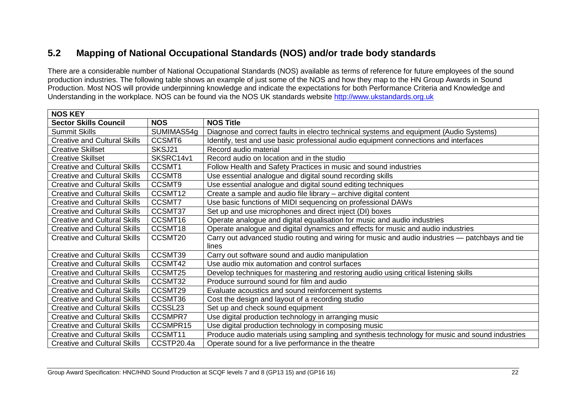## **5.2 Mapping of National Occupational Standards (NOS) and/or trade body standards**

There are a considerable number of National Occupational Standards (NOS) available as terms of reference for future employees of the sound production industries. The following table shows an example of just some of the NOS and how they map to the HN Group Awards in Sound Production. Most NOS will provide underpinning knowledge and indicate the expectations for both Performance Criteria and Knowledge and Understanding in the workplace. NOS can be found via the NOS UK standards website [http://www.ukstandards.org.uk](http://www.ukstandards.org.uk/)

<span id="page-23-0"></span>

| <b>NOS KEY</b>                      |                |                                                                                                 |
|-------------------------------------|----------------|-------------------------------------------------------------------------------------------------|
| <b>Sector Skills Council</b>        | <b>NOS</b>     | <b>NOS Title</b>                                                                                |
| <b>Summit Skills</b>                | SUMIMAS54g     | Diagnose and correct faults in electro technical systems and equipment (Audio Systems)          |
| <b>Creative and Cultural Skills</b> | CCSMT6         | Identify, test and use basic professional audio equipment connections and interfaces            |
| <b>Creative Skillset</b>            | SKSJ21         | Record audio material                                                                           |
| <b>Creative Skillset</b>            | SKSRC14v1      | Record audio on location and in the studio                                                      |
| <b>Creative and Cultural Skills</b> | CCSMT1         | Follow Health and Safety Practices in music and sound industries                                |
| <b>Creative and Cultural Skills</b> | CCSMT8         | Use essential analogue and digital sound recording skills                                       |
| <b>Creative and Cultural Skills</b> | CCSMT9         | Use essential analogue and digital sound editing techniques                                     |
| <b>Creative and Cultural Skills</b> | CCSMT12        | Create a sample and audio file library - archive digital content                                |
| <b>Creative and Cultural Skills</b> | CCSMT7         | Use basic functions of MIDI sequencing on professional DAWs                                     |
| <b>Creative and Cultural Skills</b> | CCSMT37        | Set up and use microphones and direct inject (DI) boxes                                         |
| <b>Creative and Cultural Skills</b> | CCSMT16        | Operate analogue and digital equalisation for music and audio industries                        |
| <b>Creative and Cultural Skills</b> | CCSMT18        | Operate analogue and digital dynamics and effects for music and audio industries                |
| <b>Creative and Cultural Skills</b> | CCSMT20        | Carry out advanced studio routing and wiring for music and audio industries — patchbays and tie |
|                                     |                | lines                                                                                           |
| <b>Creative and Cultural Skills</b> | CCSMT39        | Carry out software sound and audio manipulation                                                 |
| <b>Creative and Cultural Skills</b> | CCSMT42        | Use audio mix automation and control surfaces                                                   |
| <b>Creative and Cultural Skills</b> | CCSMT25        | Develop techniques for mastering and restoring audio using critical listening skills            |
| <b>Creative and Cultural Skills</b> | CCSMT32        | Produce surround sound for film and audio                                                       |
| <b>Creative and Cultural Skills</b> | CCSMT29        | Evaluate acoustics and sound reinforcement systems                                              |
| <b>Creative and Cultural Skills</b> | CCSMT36        | Cost the design and layout of a recording studio                                                |
| <b>Creative and Cultural Skills</b> | CCSSL23        | Set up and check sound equipment                                                                |
| <b>Creative and Cultural Skills</b> | <b>CCSMPR7</b> | Use digital production technology in arranging music                                            |
| <b>Creative and Cultural Skills</b> | CCSMPR15       | Use digital production technology in composing music                                            |
| <b>Creative and Cultural Skills</b> | CCSMT11        | Produce audio materials using sampling and synthesis technology for music and sound industries  |
| <b>Creative and Cultural Skills</b> | CCSTP20.4a     | Operate sound for a live performance in the theatre                                             |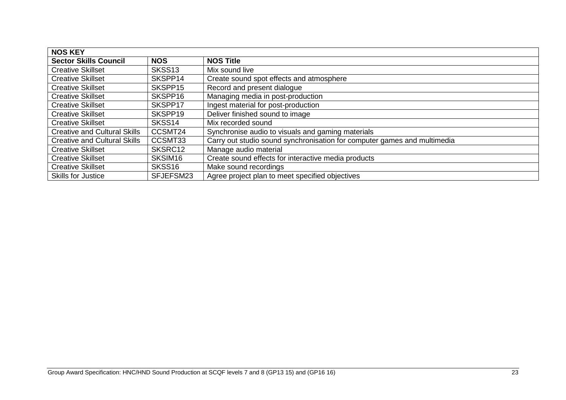| <b>NOS KEY</b>                      |                     |                                                                          |
|-------------------------------------|---------------------|--------------------------------------------------------------------------|
| <b>Sector Skills Council</b>        | <b>NOS</b>          | <b>NOS Title</b>                                                         |
| <b>Creative Skillset</b>            | SKSS <sub>13</sub>  | Mix sound live                                                           |
| <b>Creative Skillset</b>            | SKSPP14             | Create sound spot effects and atmosphere                                 |
| <b>Creative Skillset</b>            | SKSPP15             | Record and present dialogue                                              |
| <b>Creative Skillset</b>            | SKSPP16             | Managing media in post-production                                        |
| <b>Creative Skillset</b>            | SKSPP17             | Ingest material for post-production                                      |
| <b>Creative Skillset</b>            | SKSPP19             | Deliver finished sound to image                                          |
| <b>Creative Skillset</b>            | SKSS14              | Mix recorded sound                                                       |
| <b>Creative and Cultural Skills</b> | CCSMT24             | Synchronise audio to visuals and gaming materials                        |
| <b>Creative and Cultural Skills</b> | CCSMT33             | Carry out studio sound synchronisation for computer games and multimedia |
| <b>Creative Skillset</b>            | SKSRC12             | Manage audio material                                                    |
| <b>Creative Skillset</b>            | SKSIM <sub>16</sub> | Create sound effects for interactive media products                      |
| <b>Creative Skillset</b>            | SKSS <sub>16</sub>  | Make sound recordings                                                    |
| <b>Skills for Justice</b>           | SFJEFSM23           | Agree project plan to meet specified objectives                          |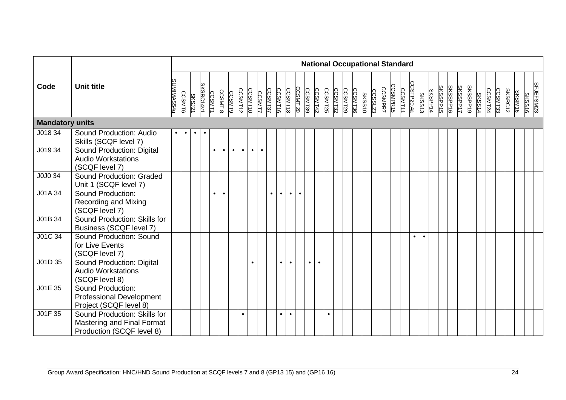|                        |                                                                                         |            |               |               |           |               |               |               |           |           |               |           |           |           |           |                |           |           |         |         |         | <b>National Occupational Standard</b> |                |                |          |                       |               |         |                 |          |          |          |               |         |         |         |                |               |           |
|------------------------|-----------------------------------------------------------------------------------------|------------|---------------|---------------|-----------|---------------|---------------|---------------|-----------|-----------|---------------|-----------|-----------|-----------|-----------|----------------|-----------|-----------|---------|---------|---------|---------------------------------------|----------------|----------------|----------|-----------------------|---------------|---------|-----------------|----------|----------|----------|---------------|---------|---------|---------|----------------|---------------|-----------|
| Code                   | <b>Unit title</b>                                                                       | SUMIMAS54g | <b>CCSMT6</b> | <b>SKSJ21</b> | SKSRC14v1 | <b>CCSMT1</b> | <b>CCSMT8</b> | <b>CCSMT9</b> | CCSMT12   | CCSMT10   | <b>CCSMT7</b> | CCSMT37   | CCSMT16   | CCSMT18   | CCSMT 20  | <b>CCSMT39</b> | CCSMT42   | CCSMT25   | CCSMT32 | CCSMT29 | CCSMT36 | <b>SKSS10</b>                         | <b>CCSSL23</b> | <b>CCSMPR7</b> | CCSMPR15 | CCSTP20.4a<br>CCSMT11 | <b>SKSS13</b> | SKSPP14 | <b>SKSSPP15</b> | SKSSPP16 | SKSSPP17 | SKSSPP19 | <b>SKSS14</b> | CCSMT24 | CCSMT33 | SKSRC12 | <b>SKSIM16</b> | <b>SKSS16</b> | SFJEFSM23 |
| <b>Mandatory units</b> |                                                                                         |            |               |               |           |               |               |               |           |           |               |           |           |           |           |                |           |           |         |         |         |                                       |                |                |          |                       |               |         |                 |          |          |          |               |         |         |         |                |               |           |
| J018 34                | Sound Production: Audio<br>Skills (SCQF level 7)                                        | $\bullet$  | $\bullet$     | $\bullet$     | $\bullet$ |               |               |               |           |           |               |           |           |           |           |                |           |           |         |         |         |                                       |                |                |          |                       |               |         |                 |          |          |          |               |         |         |         |                |               |           |
| J019 34                | Sound Production: Digital<br><b>Audio Workstations</b><br>(SCQF level 7)                |            |               |               |           |               | $\bullet$     | $\bullet$     | $\bullet$ | $\bullet$ | $\bullet$     |           |           |           |           |                |           |           |         |         |         |                                       |                |                |          |                       |               |         |                 |          |          |          |               |         |         |         |                |               |           |
| J0J0 34                | Sound Production: Graded<br>Unit 1 (SCQF level 7)                                       |            |               |               |           |               |               |               |           |           |               |           |           |           |           |                |           |           |         |         |         |                                       |                |                |          |                       |               |         |                 |          |          |          |               |         |         |         |                |               |           |
| J01A 34                | Sound Production:<br><b>Recording and Mixing</b><br>(SCQF level 7)                      |            |               |               |           | $\bullet$     | $\bullet$     |               |           |           |               | $\bullet$ | $\bullet$ | $\bullet$ | $\bullet$ |                |           |           |         |         |         |                                       |                |                |          |                       |               |         |                 |          |          |          |               |         |         |         |                |               |           |
| J01B 34                | Sound Production: Skills for<br>Business (SCQF level 7)                                 |            |               |               |           |               |               |               |           |           |               |           |           |           |           |                |           |           |         |         |         |                                       |                |                |          |                       |               |         |                 |          |          |          |               |         |         |         |                |               |           |
| J01C 34                | Sound Production: Sound<br>for Live Events<br>(SCQF level 7)                            |            |               |               |           |               |               |               |           |           |               |           |           |           |           |                |           |           |         |         |         |                                       |                |                |          |                       | $\bullet$     |         |                 |          |          |          |               |         |         |         |                |               |           |
| J01D 35                | Sound Production: Digital<br><b>Audio Workstations</b><br>(SCQF level 8)                |            |               |               |           |               |               |               |           | $\bullet$ |               |           | $\bullet$ | $\bullet$ |           | $\bullet$      | $\bullet$ |           |         |         |         |                                       |                |                |          |                       |               |         |                 |          |          |          |               |         |         |         |                |               |           |
| J01E 35                | Sound Production:<br><b>Professional Development</b><br>Project (SCQF level 8)          |            |               |               |           |               |               |               |           |           |               |           |           |           |           |                |           |           |         |         |         |                                       |                |                |          |                       |               |         |                 |          |          |          |               |         |         |         |                |               |           |
| J01F 35                | Sound Production: Skills for<br>Mastering and Final Format<br>Production (SCQF level 8) |            |               |               |           |               |               |               | $\bullet$ |           |               |           | $\bullet$ | $\bullet$ |           |                |           | $\bullet$ |         |         |         |                                       |                |                |          |                       |               |         |                 |          |          |          |               |         |         |         |                |               |           |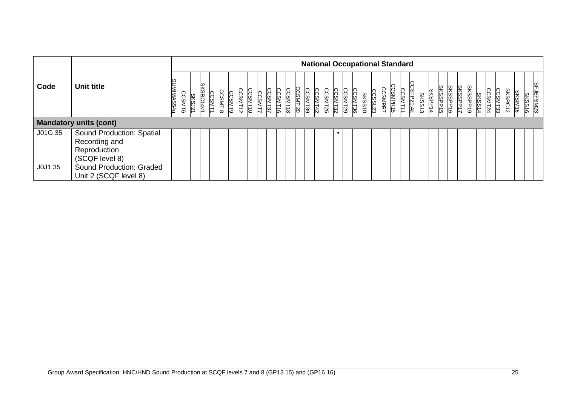|         |                               |            |               |                            |               |               |               |         |                |                   |                    |                           |                    |                    | <b>National Occupational Standard</b> |               |                |                |         |         |            |               |         |                 |                      |          |               |         |         |         |                |               |           |
|---------|-------------------------------|------------|---------------|----------------------------|---------------|---------------|---------------|---------|----------------|-------------------|--------------------|---------------------------|--------------------|--------------------|---------------------------------------|---------------|----------------|----------------|---------|---------|------------|---------------|---------|-----------------|----------------------|----------|---------------|---------|---------|---------|----------------|---------------|-----------|
| Code    | Unit title                    | SUMIMAS54g | <b>CCSMT6</b> | SKSRC14v1<br><b>SKSJ21</b> | <b>CCSMT1</b> | <b>CCSMT8</b> | <b>CCSMT9</b> | CCSMT12 | <b>CCSMT10</b> | CCSMT37<br>CCSMT7 | CCSMT18<br>CCSMT16 | <b>CCSMT</b><br><b>SQ</b> | CCSMT42<br>CCSMT39 | CCSMT32<br>CCSMT25 | <b>CCSMT36</b><br><b>CCSMT29</b>      | <b>SKSS10</b> | <b>CCSSL23</b> | <b>CCSMPR7</b> | CSMPR15 | CCSMT11 | CCSTP20.4a | <b>SKSS13</b> | SKSPP14 | <b>SKSSPP15</b> | SKSSPP17<br>SKSSPP16 | SKSSPP19 | <b>SKSS14</b> | CCSMT24 | CCSMT33 | SKSRC12 | <b>SKSIM16</b> | <b>SKSS16</b> | SFJEFSM23 |
|         | <b>Mandatory units (cont)</b> |            |               |                            |               |               |               |         |                |                   |                    |                           |                    |                    |                                       |               |                |                |         |         |            |               |         |                 |                      |          |               |         |         |         |                |               |           |
| J01G 35 | Sound Production: Spatial     |            |               |                            |               |               |               |         |                |                   |                    |                           |                    |                    |                                       |               |                |                |         |         |            |               |         |                 |                      |          |               |         |         |         |                |               |           |
|         | Recording and                 |            |               |                            |               |               |               |         |                |                   |                    |                           |                    |                    |                                       |               |                |                |         |         |            |               |         |                 |                      |          |               |         |         |         |                |               |           |
|         | Reproduction                  |            |               |                            |               |               |               |         |                |                   |                    |                           |                    |                    |                                       |               |                |                |         |         |            |               |         |                 |                      |          |               |         |         |         |                |               |           |
|         | (SCQF level 8)                |            |               |                            |               |               |               |         |                |                   |                    |                           |                    |                    |                                       |               |                |                |         |         |            |               |         |                 |                      |          |               |         |         |         |                |               |           |
| J0J1 35 | Sound Production: Graded      |            |               |                            |               |               |               |         |                |                   |                    |                           |                    |                    |                                       |               |                |                |         |         |            |               |         |                 |                      |          |               |         |         |         |                |               |           |
|         | Unit 2 (SCQF level 8)         |            |               |                            |               |               |               |         |                |                   |                    |                           |                    |                    |                                       |               |                |                |         |         |            |               |         |                 |                      |          |               |         |         |         |                |               |           |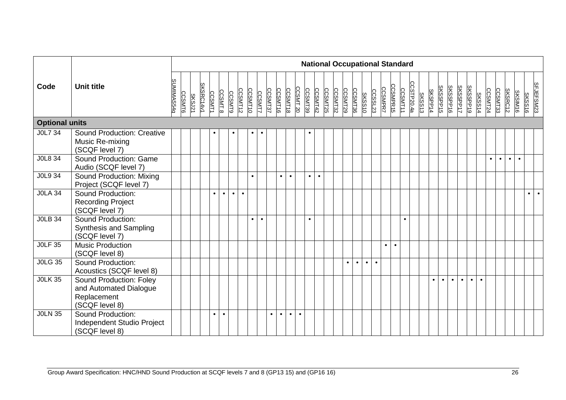|                       |                                                                                    |            |               |               |           |               |               |               |           |           |               |           |           |           |           |           |           |         |         |         |           | <b>National Occupational Standard</b> |                |                |           |           |                       |               |         |                 |           |           |           |           |               |           |           |           |                |               |           |
|-----------------------|------------------------------------------------------------------------------------|------------|---------------|---------------|-----------|---------------|---------------|---------------|-----------|-----------|---------------|-----------|-----------|-----------|-----------|-----------|-----------|---------|---------|---------|-----------|---------------------------------------|----------------|----------------|-----------|-----------|-----------------------|---------------|---------|-----------------|-----------|-----------|-----------|-----------|---------------|-----------|-----------|-----------|----------------|---------------|-----------|
| Code                  | <b>Unit title</b>                                                                  | SUMIMAS54g | <b>CCSMT6</b> | <b>SKSJ21</b> | SKSRC14v1 | <b>CCSMT1</b> | <b>CCSMT8</b> | <b>CCSMT9</b> | CCSMT12   | CCSMT10   | <b>CCSMT7</b> | CCSMT37   | CCSMT16   | CCSMT18   | CCSMT 20  | CCSMT39   | CCSMT42   | CCSMT25 | CCSMT32 | CCSMT29 | CCSMT36   | <b>SKSS10</b>                         | <b>CCSSL23</b> | <b>CCSMPR7</b> | CCSMPR15  |           | CCSTP20.4a<br>CCSMT11 | <b>SKSS13</b> | SKSPP14 | <b>SKSSPP15</b> | SKSSPP16  | SKSSPP17  |           | SKSSPP19  | <b>SKSS14</b> | CCSMT24   | CCSMT33   | SKSRC12   | <b>SKSIM16</b> | <b>SKSS16</b> | SFJEFSM23 |
| <b>Optional units</b> |                                                                                    |            |               |               |           |               |               |               |           |           |               |           |           |           |           |           |           |         |         |         |           |                                       |                |                |           |           |                       |               |         |                 |           |           |           |           |               |           |           |           |                |               |           |
| J0L7 34               | <b>Sound Production: Creative</b><br>Music Re-mixing<br>(SCQF level 7)             |            |               |               |           |               |               |               |           | $\bullet$ |               |           |           |           |           |           |           |         |         |         |           |                                       |                |                |           |           |                       |               |         |                 |           |           |           |           |               |           |           |           |                |               |           |
| J0L8 34               | Sound Production: Game<br>Audio (SCQF level 7)                                     |            |               |               |           |               |               |               |           |           |               |           |           |           |           |           |           |         |         |         |           |                                       |                |                |           |           |                       |               |         |                 |           |           |           |           |               | $\bullet$ | $\bullet$ | $\bullet$ | $\bullet$      |               |           |
| J0L9 34               | Sound Production: Mixing<br>Project (SCQF level 7)                                 |            |               |               |           |               |               |               |           | $\bullet$ |               |           |           | $\bullet$ |           | $\bullet$ | $\bullet$ |         |         |         |           |                                       |                |                |           |           |                       |               |         |                 |           |           |           |           |               |           |           |           |                |               |           |
| <b>JOLA 34</b>        | Sound Production:<br><b>Recording Project</b><br>(SCQF level 7)                    |            |               |               |           | $\bullet$     | $\bullet$     | $\bullet$     | $\bullet$ |           |               |           |           |           |           |           |           |         |         |         |           |                                       |                |                |           |           |                       |               |         |                 |           |           |           |           |               |           |           |           |                | $\bullet$     | $\bullet$ |
| <b>JOLB 34</b>        | Sound Production:<br>Synthesis and Sampling<br>(SCQF level 7)                      |            |               |               |           |               |               |               |           | $\bullet$ | $\bullet$     |           |           |           |           | $\bullet$ |           |         |         |         |           |                                       |                |                |           | $\bullet$ |                       |               |         |                 |           |           |           |           |               |           |           |           |                |               |           |
| <b>JOLF 35</b>        | <b>Music Production</b><br>(SCQF level 8)                                          |            |               |               |           |               |               |               |           |           |               |           |           |           |           |           |           |         |         |         |           |                                       |                | $\bullet$      | $\bullet$ |           |                       |               |         |                 |           |           |           |           |               |           |           |           |                |               |           |
| <b>JOLG 35</b>        | Sound Production:<br>Acoustics (SCQF level 8)                                      |            |               |               |           |               |               |               |           |           |               |           |           |           |           |           |           |         |         |         | $\bullet$ | $\bullet$                             | $\bullet$      |                |           |           |                       |               |         |                 |           |           |           |           |               |           |           |           |                |               |           |
| <b>JOLK 35</b>        | Sound Production: Foley<br>and Automated Dialogue<br>Replacement<br>(SCQF level 8) |            |               |               |           |               |               |               |           |           |               |           |           |           |           |           |           |         |         |         |           |                                       |                |                |           |           |                       |               |         | $\bullet$       | $\bullet$ | $\bullet$ | $\bullet$ | $\bullet$ | $\bullet$     |           |           |           |                |               |           |
| <b>JOLN 35</b>        | Sound Production:<br>Independent Studio Project<br>(SCQF level 8)                  |            |               |               |           | $\bullet$     | $\bullet$     |               |           |           |               | $\bullet$ | $\bullet$ | $\bullet$ | $\bullet$ |           |           |         |         |         |           |                                       |                |                |           |           |                       |               |         |                 |           |           |           |           |               |           |           |           |                |               |           |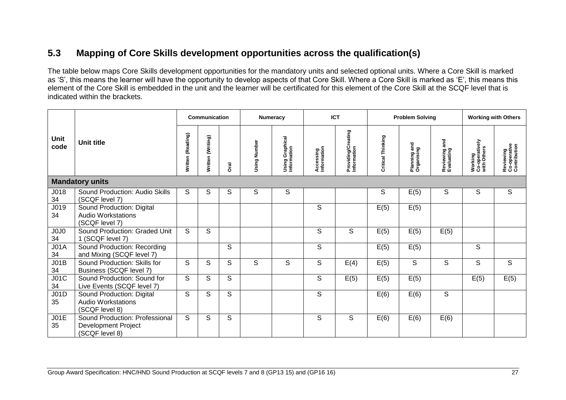## **5.3 Mapping of Core Skills development opportunities across the qualification(s)**

The table below maps Core Skills development opportunities for the mandatory units and selected optional units. Where a Core Skill is marked as 'S', this means the learner will have the opportunity to develop aspects of that Core Skill. Where a Core Skill is marked as 'E', this means this element of the Core Skill is embedded in the unit and the learner will be certificated for this element of the Core Skill at the SCQF level that is indicated within the brackets.

<span id="page-28-0"></span>

|                     |                                                                                |                   | <b>Communication</b> |                         | <b>Numeracy</b> |                                | <b>ICT</b>               |                                   |                   | <b>Problem Solving</b>     |                                | <b>Working with Others</b>               |                                           |
|---------------------|--------------------------------------------------------------------------------|-------------------|----------------------|-------------------------|-----------------|--------------------------------|--------------------------|-----------------------------------|-------------------|----------------------------|--------------------------------|------------------------------------------|-------------------------------------------|
| <b>Unit</b><br>code | <b>Unit title</b>                                                              | Written (Reading) | Written (Writing)    | อิ<br>อิ                | Using Number    | Using Graphical<br>Information | Accessing<br>Information | Providing/Creating<br>Information | Critical Thinking | Planning and<br>Organising | and<br>Reviewing<br>Evaluating | Working<br>Co-operatively<br>with Others | Reviewing<br>Co-operative<br>Contribution |
|                     | <b>Mandatory units</b>                                                         |                   |                      |                         |                 |                                |                          |                                   |                   |                            |                                |                                          |                                           |
| J018<br>34          | Sound Production: Audio Skills<br>(SCQF level 7)                               | S                 | S                    | S                       | S               | S                              |                          |                                   | S                 | E(5)                       | S                              | S                                        | S                                         |
| J019<br>34          | Sound Production: Digital<br><b>Audio Workstations</b><br>(SCQF level 7)       |                   |                      |                         |                 |                                | S                        |                                   | E(5)              | E(5)                       |                                |                                          |                                           |
| J0J0<br>34          | Sound Production: Graded Unit<br>1 (SCQF level 7)                              | S                 | S                    |                         |                 |                                | S                        | S                                 | E(5)              | E(5)                       | E(5)                           |                                          |                                           |
| J01A<br>34          | Sound Production: Recording<br>and Mixing (SCQF level 7)                       |                   |                      | S                       |                 |                                | S                        |                                   | E(5)              | E(5)                       |                                | S                                        |                                           |
| JO1B<br>34          | Sound Production: Skills for<br>Business (SCQF level 7)                        | S                 | S                    | S                       | S               | S                              | S                        | E(4)                              | E(5)              | S                          | S                              | S                                        | S                                         |
| J01C<br>34          | Sound Production: Sound for<br>Live Events (SCQF level 7)                      | S.                | S                    | S                       |                 |                                | S                        | E(5)                              | E(5)              | E(5)                       |                                | E(5)                                     | E(5)                                      |
| JO1D<br>35          | Sound Production: Digital<br><b>Audio Workstations</b><br>(SCQF level 8)       | S                 | S.                   | $\mathsf{S}$            |                 |                                | S                        |                                   | E(6)              | E(6)                       | S                              |                                          |                                           |
| JO1E<br>35          | Sound Production: Professional<br><b>Development Project</b><br>(SCQF level 8) | S                 | S                    | $\overline{\mathsf{s}}$ |                 |                                | S                        | S                                 | E(6)              | E(6)                       | E(6)                           |                                          |                                           |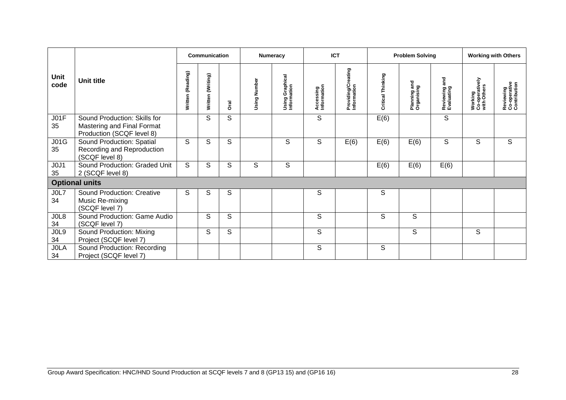|                                     |                                                                                         |                   | <b>Communication</b> |      |              | Numeracy                       | <b>ICT</b>               |                                   |                             | <b>Problem Solving</b>           |                                |                                          | <b>Working with Others</b>                |
|-------------------------------------|-----------------------------------------------------------------------------------------|-------------------|----------------------|------|--------------|--------------------------------|--------------------------|-----------------------------------|-----------------------------|----------------------------------|--------------------------------|------------------------------------------|-------------------------------------------|
| Unit<br>code                        | <b>Unit title</b>                                                                       | Written (Reading) | Written (Writing)    | Dral | Using Number | Using Graphical<br>Information | Accessing<br>Information | Providing/Creating<br>Information | Thinking<br><b>Critical</b> | gra<br>Planning an<br>Organising | and<br>Reviewing<br>Evaluating | Working<br>Co-operatively<br>with Others | Reviewing<br>Co-operative<br>Contribution |
| JO1F<br>35                          | Sound Production: Skills for<br>Mastering and Final Format<br>Production (SCQF level 8) |                   | S                    | S    |              |                                | S                        |                                   | E(6)                        |                                  | S                              |                                          |                                           |
| J01G<br>35                          | Sound Production: Spatial<br>Recording and Reproduction<br>(SCQF level 8)               | S                 | S                    | S    |              | S                              | S                        | E(6)                              | E(6)                        | E(6)                             | S                              | S                                        | S                                         |
| J <sub>0</sub> J <sub>1</sub><br>35 | Sound Production: Graded Unit<br>2 (SCQF level 8)                                       | S.                | S                    | S    | S            | S                              |                          |                                   | E(6)                        | E(6)                             | E(6)                           |                                          |                                           |
|                                     | <b>Optional units</b>                                                                   |                   |                      |      |              |                                |                          |                                   |                             |                                  |                                |                                          |                                           |
| JOL7<br>34                          | <b>Sound Production: Creative</b><br>Music Re-mixing<br>(SCQF level 7)                  | S                 | S                    | S    |              |                                | S                        |                                   | S                           |                                  |                                |                                          |                                           |
| JOL8<br>34                          | Sound Production: Game Audio<br>(SCQF level 7)                                          |                   | S                    | S    |              |                                | S                        |                                   | S                           | S                                |                                |                                          |                                           |
| JOL9<br>34                          | Sound Production: Mixing<br>Project (SCQF level 7)                                      |                   | S                    | S    |              |                                | S                        |                                   |                             | S                                |                                | S                                        |                                           |
| <b>JOLA</b><br>34                   | Sound Production: Recording<br>Project (SCQF level 7)                                   |                   |                      |      |              |                                | S                        |                                   | S                           |                                  |                                |                                          |                                           |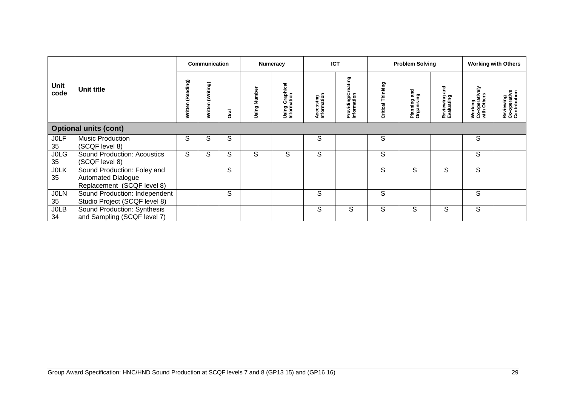|                   |                                                                                        |                        | <b>Communication</b> |             |              | <b>Numeracy</b>                | <b>ICT</b>               |                                   |                      | <b>Problem Solving</b>                |                               |                                                 | <b>Working with Others</b>                     |
|-------------------|----------------------------------------------------------------------------------------|------------------------|----------------------|-------------|--------------|--------------------------------|--------------------------|-----------------------------------|----------------------|---------------------------------------|-------------------------------|-------------------------------------------------|------------------------------------------------|
| Unit<br>code      | Unit title                                                                             | ading)<br>Ë<br>Written | (Writing)<br>Written | <b>Drai</b> | Using Number | Using Graphical<br>Information | Accessing<br>Information | Providing/Creating<br>Information | Thinking<br>Critical | gue<br>င္ငွာ<br>Planning<br>Organisin | ខិ<br>Reviewing<br>Evaluating | <b>Working</b><br>Co-operatively<br>with Others | ያ<br>Reviewing<br>Co-operative<br>Contribution |
|                   | <b>Optional units (cont)</b>                                                           |                        |                      |             |              |                                |                          |                                   |                      |                                       |                               |                                                 |                                                |
| <b>JOLF</b><br>35 | Music Production<br>(SCQF level 8)                                                     | S                      | S                    | S           |              |                                | S                        |                                   | S                    |                                       |                               | S                                               |                                                |
| <b>JOLG</b><br>35 | Sound Production: Acoustics<br>(SCQF level 8)                                          | S                      | S                    | S           | S            | S                              | S                        |                                   | $\mathsf S$          |                                       |                               | S                                               |                                                |
| <b>JOLK</b><br>35 | Sound Production: Foley and<br><b>Automated Dialogue</b><br>Replacement (SCQF level 8) |                        |                      | S           |              |                                |                          |                                   | S                    | S                                     | S                             | S                                               |                                                |
| <b>JOLN</b><br>35 | Sound Production: Independent<br>Studio Project (SCQF level 8)                         |                        |                      | S           |              |                                | S                        |                                   | S                    |                                       |                               | S                                               |                                                |
| <b>JOLB</b><br>34 | Sound Production: Synthesis<br>and Sampling (SCQF level 7)                             |                        |                      |             |              |                                | S                        | S                                 | S                    | S                                     | S                             | S                                               |                                                |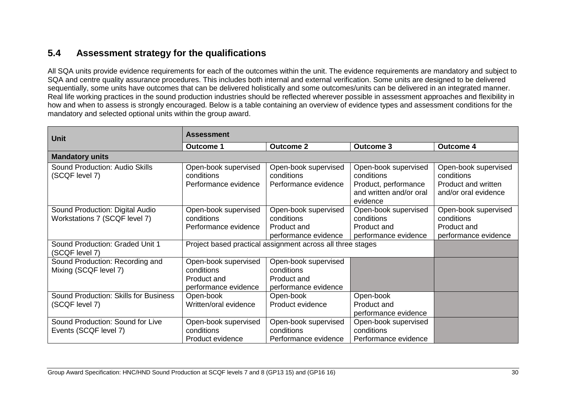## **5.4 Assessment strategy for the qualifications**

All SQA units provide evidence requirements for each of the outcomes within the unit. The evidence requirements are mandatory and subject to SQA and centre quality assurance procedures. This includes both internal and external verification. Some units are designed to be delivered sequentially, some units have outcomes that can be delivered holistically and some outcomes/units can be delivered in an integrated manner. Real life working practices in the sound production industries should be reflected wherever possible in assessment approaches and flexibility in how and when to assess is strongly encouraged. Below is a table containing an overview of evidence types and assessment conditions for the mandatory and selected optional units within the group award.

<span id="page-31-0"></span>

| Unit                                                             | <b>Assessment</b>                                                         |                                                                           |                                                                                                   |                                                                                   |
|------------------------------------------------------------------|---------------------------------------------------------------------------|---------------------------------------------------------------------------|---------------------------------------------------------------------------------------------------|-----------------------------------------------------------------------------------|
|                                                                  | Outcome 1                                                                 | <b>Outcome 2</b>                                                          | <b>Outcome 3</b>                                                                                  | <b>Outcome 4</b>                                                                  |
| <b>Mandatory units</b>                                           |                                                                           |                                                                           |                                                                                                   |                                                                                   |
| Sound Production: Audio Skills<br>(SCQF level 7)                 | Open-book supervised<br>conditions<br>Performance evidence                | Open-book supervised<br>conditions<br>Performance evidence                | Open-book supervised<br>conditions<br>Product, performance<br>and written and/or oral<br>evidence | Open-book supervised<br>conditions<br>Product and written<br>and/or oral evidence |
| Sound Production: Digital Audio<br>Workstations 7 (SCQF level 7) | Open-book supervised<br>conditions<br>Performance evidence                | Open-book supervised<br>conditions<br>Product and<br>performance evidence | Open-book supervised<br>conditions<br>Product and<br>performance evidence                         | Open-book supervised<br>conditions<br>Product and<br>performance evidence         |
| Sound Production: Graded Unit 1<br>(SCQF level 7)                |                                                                           | Project based practical assignment across all three stages                |                                                                                                   |                                                                                   |
| Sound Production: Recording and<br>Mixing (SCQF level 7)         | Open-book supervised<br>conditions<br>Product and<br>performance evidence | Open-book supervised<br>conditions<br>Product and<br>performance evidence |                                                                                                   |                                                                                   |
| Sound Production: Skills for Business<br>(SCQF level 7)          | Open-book<br>Written/oral evidence                                        | Open-book<br>Product evidence                                             | Open-book<br>Product and<br>performance evidence                                                  |                                                                                   |
| Sound Production: Sound for Live<br>Events (SCQF level 7)        | Open-book supervised<br>conditions<br>Product evidence                    | Open-book supervised<br>conditions<br>Performance evidence                | Open-book supervised<br>conditions<br>Performance evidence                                        |                                                                                   |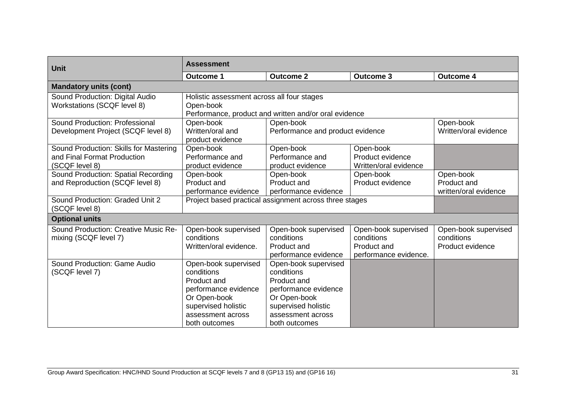| <b>Unit</b>                                                                             | <b>Assessment</b>                                                                                                                                      |                                                                                                                                                        |                                                                            |                                                        |  |  |  |  |
|-----------------------------------------------------------------------------------------|--------------------------------------------------------------------------------------------------------------------------------------------------------|--------------------------------------------------------------------------------------------------------------------------------------------------------|----------------------------------------------------------------------------|--------------------------------------------------------|--|--|--|--|
|                                                                                         | <b>Outcome 1</b>                                                                                                                                       | <b>Outcome 2</b>                                                                                                                                       | <b>Outcome 3</b>                                                           | <b>Outcome 4</b>                                       |  |  |  |  |
| <b>Mandatory units (cont)</b>                                                           |                                                                                                                                                        |                                                                                                                                                        |                                                                            |                                                        |  |  |  |  |
| Sound Production: Digital Audio<br>Workstations (SCQF level 8)                          | Holistic assessment across all four stages<br>Open-book                                                                                                | Performance, product and written and/or oral evidence                                                                                                  |                                                                            |                                                        |  |  |  |  |
| Sound Production: Professional<br>Development Project (SCQF level 8)                    | Open-book<br>Written/oral and<br>product evidence                                                                                                      | Open-book<br>Open-book<br>Performance and product evidence<br>Written/oral evidence                                                                    |                                                                            |                                                        |  |  |  |  |
| Sound Production: Skills for Mastering<br>and Final Format Production<br>(SCQF level 8) | Open-book<br>Performance and<br>product evidence                                                                                                       | Open-book<br>Performance and<br>product evidence                                                                                                       | Open-book<br>Product evidence<br>Written/oral evidence                     |                                                        |  |  |  |  |
| Sound Production: Spatial Recording<br>and Reproduction (SCQF level 8)                  | Open-book<br>Product and<br>performance evidence                                                                                                       | Open-book<br>Product and<br>performance evidence                                                                                                       | Open-book<br>Product evidence                                              | Open-book<br>Product and<br>written/oral evidence      |  |  |  |  |
| Sound Production: Graded Unit 2<br>(SCQF level 8)                                       | Project based practical assignment across three stages                                                                                                 |                                                                                                                                                        |                                                                            |                                                        |  |  |  |  |
| <b>Optional units</b>                                                                   |                                                                                                                                                        |                                                                                                                                                        |                                                                            |                                                        |  |  |  |  |
| Sound Production: Creative Music Re-<br>mixing (SCQF level 7)                           | Open-book supervised<br>conditions<br>Written/oral evidence.                                                                                           | Open-book supervised<br>conditions<br>Product and<br>performance evidence                                                                              | Open-book supervised<br>conditions<br>Product and<br>performance evidence. | Open-book supervised<br>conditions<br>Product evidence |  |  |  |  |
| Sound Production: Game Audio<br>(SCQF level 7)                                          | Open-book supervised<br>conditions<br>Product and<br>performance evidence<br>Or Open-book<br>supervised holistic<br>assessment across<br>both outcomes | Open-book supervised<br>conditions<br>Product and<br>performance evidence<br>Or Open-book<br>supervised holistic<br>assessment across<br>both outcomes |                                                                            |                                                        |  |  |  |  |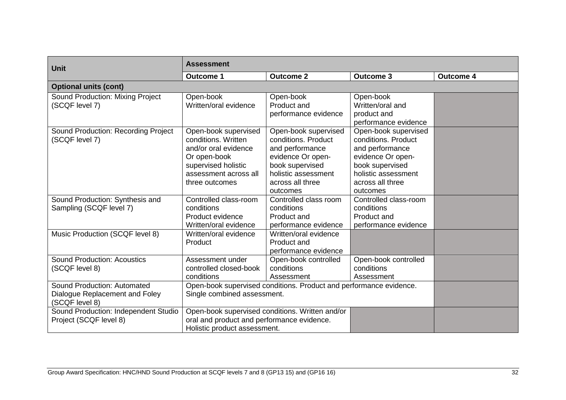| <b>Unit</b>                                                                     | <b>Assessment</b>                                                                                                                                     |                                                                                                                                                               |                                                                                                                                                               |                  |  |  |  |  |  |
|---------------------------------------------------------------------------------|-------------------------------------------------------------------------------------------------------------------------------------------------------|---------------------------------------------------------------------------------------------------------------------------------------------------------------|---------------------------------------------------------------------------------------------------------------------------------------------------------------|------------------|--|--|--|--|--|
|                                                                                 | <b>Outcome 1</b>                                                                                                                                      | <b>Outcome 2</b>                                                                                                                                              | <b>Outcome 3</b>                                                                                                                                              | <b>Outcome 4</b> |  |  |  |  |  |
| <b>Optional units (cont)</b>                                                    |                                                                                                                                                       |                                                                                                                                                               |                                                                                                                                                               |                  |  |  |  |  |  |
| Sound Production: Mixing Project<br>(SCQF level 7)                              | Open-book<br>Written/oral evidence                                                                                                                    | Open-book<br>Product and<br>performance evidence                                                                                                              | Open-book<br>Written/oral and<br>product and<br>performance evidence                                                                                          |                  |  |  |  |  |  |
| Sound Production: Recording Project<br>(SCQF level 7)                           | Open-book supervised<br>conditions. Written<br>and/or oral evidence<br>Or open-book<br>supervised holistic<br>assessment across all<br>three outcomes | Open-book supervised<br>conditions. Product<br>and performance<br>evidence Or open-<br>book supervised<br>holistic assessment<br>across all three<br>outcomes | Open-book supervised<br>conditions. Product<br>and performance<br>evidence Or open-<br>book supervised<br>holistic assessment<br>across all three<br>outcomes |                  |  |  |  |  |  |
| Sound Production: Synthesis and<br>Sampling (SCQF level 7)                      | Controlled class-room<br>conditions<br>Product evidence<br>Written/oral evidence                                                                      | Controlled class room<br>conditions<br>Product and<br>performance evidence                                                                                    | Controlled class-room<br>conditions<br>Product and<br>performance evidence                                                                                    |                  |  |  |  |  |  |
| Music Production (SCQF level 8)                                                 | Written/oral evidence<br>Product                                                                                                                      | Written/oral evidence<br>Product and<br>performance evidence                                                                                                  |                                                                                                                                                               |                  |  |  |  |  |  |
| <b>Sound Production: Acoustics</b><br>(SCQF level 8)                            | Assessment under<br>controlled closed-book<br>conditions                                                                                              | Open-book controlled<br>conditions<br>Assessment                                                                                                              | Open-book controlled<br>conditions<br>Assessment                                                                                                              |                  |  |  |  |  |  |
| Sound Production: Automated<br>Dialogue Replacement and Foley<br>(SCQF level 8) | Single combined assessment.                                                                                                                           | Open-book supervised conditions. Product and performance evidence.                                                                                            |                                                                                                                                                               |                  |  |  |  |  |  |
| Sound Production: Independent Studio<br>Project (SCQF level 8)                  | oral and product and performance evidence.<br>Holistic product assessment.                                                                            | Open-book supervised conditions. Written and/or                                                                                                               |                                                                                                                                                               |                  |  |  |  |  |  |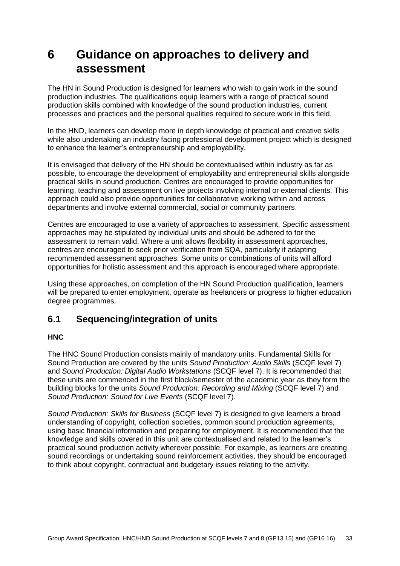## <span id="page-34-0"></span>**6 Guidance on approaches to delivery and assessment**

The HN in Sound Production is designed for learners who wish to gain work in the sound production industries. The qualifications equip learners with a range of practical sound production skills combined with knowledge of the sound production industries, current processes and practices and the personal qualities required to secure work in this field.

In the HND, learners can develop more in depth knowledge of practical and creative skills while also undertaking an industry facing professional development project which is designed to enhance the learner's entrepreneurship and employability.

It is envisaged that delivery of the HN should be contextualised within industry as far as possible, to encourage the development of employability and entrepreneurial skills alongside practical skills in sound production. Centres are encouraged to provide opportunities for learning, teaching and assessment on live projects involving internal or external clients. This approach could also provide opportunities for collaborative working within and across departments and involve external commercial, social or community partners.

Centres are encouraged to use a variety of approaches to assessment. Specific assessment approaches may be stipulated by individual units and should be adhered to for the assessment to remain valid. Where a unit allows flexibility in assessment approaches, centres are encouraged to seek prior verification from SQA, particularly if adapting recommended assessment approaches. Some units or combinations of units will afford opportunities for holistic assessment and this approach is encouraged where appropriate.

Using these approaches, on completion of the HN Sound Production qualification, learners will be prepared to enter employment, operate as freelancers or progress to higher education degree programmes.

### <span id="page-34-1"></span>**6.1 Sequencing/integration of units**

#### **HNC**

The HNC Sound Production consists mainly of mandatory units. Fundamental Skills for Sound Production are covered by the units *Sound Production: Audio Skills* (SCQF level 7) and *Sound Production: Digital Audio Workstations* (SCQF level 7). It is recommended that these units are commenced in the first block/semester of the academic year as they form the building blocks for the units *Sound Production: Recording and Mixing* (SCQF level 7) and *Sound Production: Sound for Live Events* (SCQF level 7).

*Sound Production: Skills for Business* (SCQF level 7) is designed to give learners a broad understanding of copyright, collection societies, common sound production agreements, using basic financial information and preparing for employment. It is recommended that the knowledge and skills covered in this unit are contextualised and related to the learner's practical sound production activity wherever possible. For example, as learners are creating sound recordings or undertaking sound reinforcement activities, they should be encouraged to think about copyright, contractual and budgetary issues relating to the activity.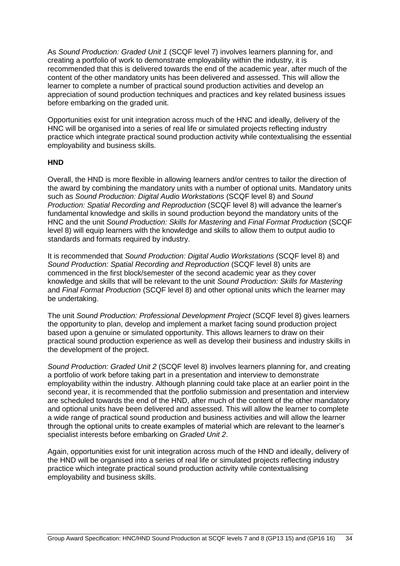As *Sound Production: Graded Unit 1* (SCQF level 7) involves learners planning for, and creating a portfolio of work to demonstrate employability within the industry, it is recommended that this is delivered towards the end of the academic year, after much of the content of the other mandatory units has been delivered and assessed. This will allow the learner to complete a number of practical sound production activities and develop an appreciation of sound production techniques and practices and key related business issues before embarking on the graded unit.

Opportunities exist for unit integration across much of the HNC and ideally, delivery of the HNC will be organised into a series of real life or simulated projects reflecting industry practice which integrate practical sound production activity while contextualising the essential employability and business skills.

#### **HND**

Overall, the HND is more flexible in allowing learners and/or centres to tailor the direction of the award by combining the mandatory units with a number of optional units. Mandatory units such as *Sound Production: Digital Audio Workstations* (SCQF level 8) and *Sound Production: Spatial Recording and Reproduction* (SCQF level 8) will advance the learner's fundamental knowledge and skills in sound production beyond the mandatory units of the HNC and the unit *Sound Production: Skills for Mastering* and *Final Format Production* (SCQF level 8) will equip learners with the knowledge and skills to allow them to output audio to standards and formats required by industry.

It is recommended that *Sound Production: Digital Audio Workstations* (SCQF level 8) and *Sound Production: Spatial Recording and Reproduction* (SCQF level 8) units are commenced in the first block/semester of the second academic year as they cover knowledge and skills that will be relevant to the unit *Sound Production: Skills for Mastering* and *Final Format Production* (SCQF level 8) and other optional units which the learner may be undertaking.

The unit *Sound Production: Professional Development Project* (SCQF level 8) gives learners the opportunity to plan, develop and implement a market facing sound production project based upon a genuine or simulated opportunity. This allows learners to draw on their practical sound production experience as well as develop their business and industry skills in the development of the project.

*Sound Production: Graded Unit 2* (SCQF level 8) involves learners planning for, and creating a portfolio of work before taking part in a presentation and interview to demonstrate employability within the industry. Although planning could take place at an earlier point in the second year, it is recommended that the portfolio submission and presentation and interview are scheduled towards the end of the HND, after much of the content of the other mandatory and optional units have been delivered and assessed. This will allow the learner to complete a wide range of practical sound production and business activities and will allow the learner through the optional units to create examples of material which are relevant to the learner's specialist interests before embarking on *Graded Unit 2*.

Again, opportunities exist for unit integration across much of the HND and ideally, delivery of the HND will be organised into a series of real life or simulated projects reflecting industry practice which integrate practical sound production activity while contextualising employability and business skills.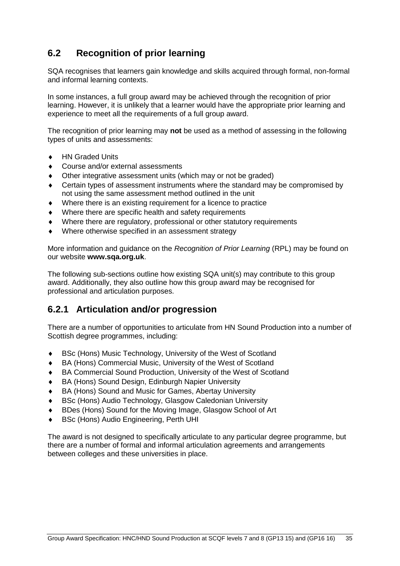## <span id="page-36-0"></span>**6.2 Recognition of prior learning**

SQA recognises that learners gain knowledge and skills acquired through formal, non-formal and informal learning contexts.

In some instances, a full group award may be achieved through the recognition of prior learning. However, it is unlikely that a learner would have the appropriate prior learning and experience to meet all the requirements of a full group award.

The recognition of prior learning may **not** be used as a method of assessing in the following types of units and assessments:

- ◆ HN Graded Units
- Course and/or external assessments
- Other integrative assessment units (which may or not be graded)
- Certain types of assessment instruments where the standard may be compromised by not using the same assessment method outlined in the unit
- Where there is an existing requirement for a licence to practice
- Where there are specific health and safety requirements
- Where there are regulatory, professional or other statutory requirements
- Where otherwise specified in an assessment strategy

More information and guidance on the *Recognition of Prior Learning* (RPL) may be found on our website **[www.sqa.org.uk](http://www.sqa.org.uk/)**.

The following sub-sections outline how existing SQA unit(s) may contribute to this group award. Additionally, they also outline how this group award may be recognised for professional and articulation purposes.

### **6.2.1 Articulation and/or progression**

There are a number of opportunities to articulate from HN Sound Production into a number of Scottish degree programmes, including:

- BSc (Hons) Music Technology, University of the West of Scotland
- BA (Hons) Commercial Music, University of the West of Scotland
- BA Commercial Sound Production, University of the West of Scotland
- BA (Hons) Sound Design, Edinburgh Napier University
- BA (Hons) Sound and Music for Games, Abertay University
- BSc (Hons) Audio Technology, Glasgow Caledonian University
- BDes (Hons) Sound for the Moving Image, Glasgow School of Art
- BSc (Hons) Audio Engineering, Perth UHI

The award is not designed to specifically articulate to any particular degree programme, but there are a number of formal and informal articulation agreements and arrangements between colleges and these universities in place.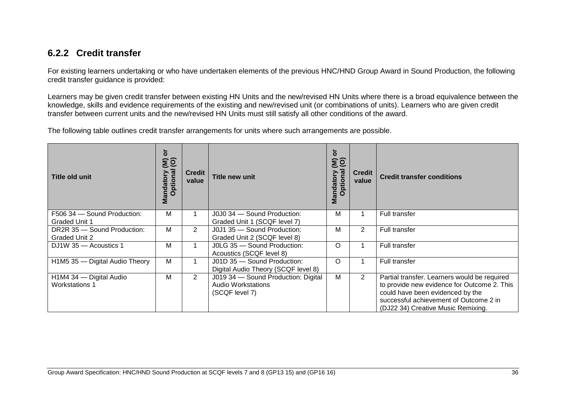## **6.2.2 Credit transfer**

For existing learners undertaking or who have undertaken elements of the previous HNC/HND Group Award in Sound Production, the following credit transfer guidance is provided:

Learners may be given credit transfer between existing HN Units and the new/revised HN Units where there is a broad equivalence between the knowledge, skills and evidence requirements of the existing and new/revised unit (or combinations of units). Learners who are given credit transfer between current units and the new/revised HN Units must still satisfy all other conditions of the award.

The following table outlines credit transfer arrangements for units where such arrangements are possible.

| <b>Title old unit</b>                               | ŏ<br>$\widehat{\mathsf{so}}$<br>ptional<br>Mandatory<br>$\overline{O}$ | <b>Credit</b><br>value | <b>Title new unit</b>                                                              | ð<br>$\widehat{\mathsf{SO}}$<br><b>Mandatory</b><br>Optional | <b>Credit</b><br>value | <b>Credit transfer conditions</b>                                                                                                                                                                               |
|-----------------------------------------------------|------------------------------------------------------------------------|------------------------|------------------------------------------------------------------------------------|--------------------------------------------------------------|------------------------|-----------------------------------------------------------------------------------------------------------------------------------------------------------------------------------------------------------------|
| F506 34 - Sound Production:<br><b>Graded Unit 1</b> | M                                                                      |                        | J0J0 34 - Sound Production:<br>Graded Unit 1 (SCQF level 7)                        | М                                                            |                        | Full transfer                                                                                                                                                                                                   |
| DR2R 35 - Sound Production:<br>Graded Unit 2        | M                                                                      | $\overline{2}$         | J0J1 35 - Sound Production:<br>Graded Unit 2 (SCQF level 8)                        | М                                                            | $\overline{2}$         | Full transfer                                                                                                                                                                                                   |
| DJ1W 35 - Acoustics 1                               | M                                                                      |                        | J0LG 35 - Sound Production:<br>Acoustics (SCQF level 8)                            | O                                                            |                        | Full transfer                                                                                                                                                                                                   |
| H1M5 35 - Digital Audio Theory                      | M                                                                      |                        | J01D 35 - Sound Production:<br>Digital Audio Theory (SCQF level 8)                 | Ω                                                            |                        | Full transfer                                                                                                                                                                                                   |
| H1M4 34 - Digital Audio<br><b>Workstations 1</b>    | М                                                                      | $\overline{2}$         | J019 34 - Sound Production: Digital<br><b>Audio Workstations</b><br>(SCQF level 7) | Μ                                                            | $\overline{2}$         | Partial transfer. Learners would be required<br>to provide new evidence for Outcome 2. This<br>could have been evidenced by the<br>successful achievement of Outcome 2 in<br>(DJ22 34) Creative Music Remixing. |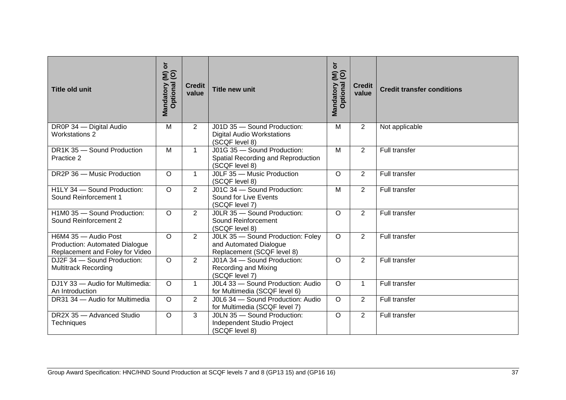| <b>Title old unit</b>                                                                            | $\overleftarrow{\mathbf{o}}$<br>andatory (M)<br>Optional (O)<br>Mandatory | <b>Credit</b><br>value | <b>Title new unit</b>                                                                     | $\overline{a}$<br>$\widetilde{\mathbf{g}}$<br>Optional<br>Mandatory | <b>Credit</b><br>value | <b>Credit transfer conditions</b> |
|--------------------------------------------------------------------------------------------------|---------------------------------------------------------------------------|------------------------|-------------------------------------------------------------------------------------------|---------------------------------------------------------------------|------------------------|-----------------------------------|
| DR0P 34 - Digital Audio<br><b>Workstations 2</b>                                                 | M                                                                         | 2                      | J01D 35 - Sound Production:<br><b>Digital Audio Workstations</b><br>(SCQF level 8)        | M                                                                   | $\overline{2}$         | Not applicable                    |
| DR1K 35 - Sound Production<br>Practice 2                                                         | M                                                                         | $\mathbf{1}$           | J01G 35 - Sound Production:<br>Spatial Recording and Reproduction<br>(SCQF level 8)       | M                                                                   | $\overline{2}$         | Full transfer                     |
| DR2P 36 - Music Production                                                                       | $\circ$                                                                   | $\mathbf{1}$           | JOLF 35 - Music Production<br>(SCQF level 8)                                              | $\circ$                                                             | $\overline{2}$         | Full transfer                     |
| H1LY 34 - Sound Production:<br>Sound Reinforcement 1                                             | $\overline{O}$                                                            | $\overline{2}$         | J01C 34 - Sound Production:<br>Sound for Live Events<br>(SCQF level 7)                    | M                                                                   | $\overline{2}$         | <b>Full transfer</b>              |
| H1M0 35 - Sound Production:<br>Sound Reinforcement 2                                             | $\circ$                                                                   | 2                      | J0LR 35 - Sound Production:<br>Sound Reinforcement<br>(SCQF level 8)                      | $\circ$                                                             | $\overline{2}$         | Full transfer                     |
| H6M4 35 - Audio Post<br><b>Production: Automated Dialogue</b><br>Replacement and Foley for Video | $\circ$                                                                   | $\overline{2}$         | J0LK 35 - Sound Production: Foley<br>and Automated Dialogue<br>Replacement (SCQF level 8) | $\circ$                                                             | $\overline{2}$         | Full transfer                     |
| DJ2F 34 - Sound Production:<br><b>Multitrack Recording</b>                                       | $\circ$                                                                   | $\overline{2}$         | J01A 34 - Sound Production:<br>Recording and Mixing<br>(SCQF level 7)                     | $\circ$                                                             | $\overline{2}$         | Full transfer                     |
| DJ1Y 33 - Audio for Multimedia:<br>An Introduction                                               | $\circ$                                                                   | $\mathbf{1}$           | J0L4 33 - Sound Production: Audio<br>for Multimedia (SCQF level 6)                        | $\circ$                                                             | $\mathbf{1}$           | Full transfer                     |
| DR31 34 - Audio for Multimedia                                                                   | $\overline{O}$                                                            | 2                      | J0L6 34 - Sound Production: Audio<br>for Multimedia (SCQF level 7)                        | $\circ$                                                             | $\overline{2}$         | Full transfer                     |
| DR2X 35 - Advanced Studio<br>Techniques                                                          | $\circ$                                                                   | 3                      | J0LN 35 - Sound Production:<br>Independent Studio Project<br>(SCQF level 8)               | $\circ$                                                             | $\overline{2}$         | Full transfer                     |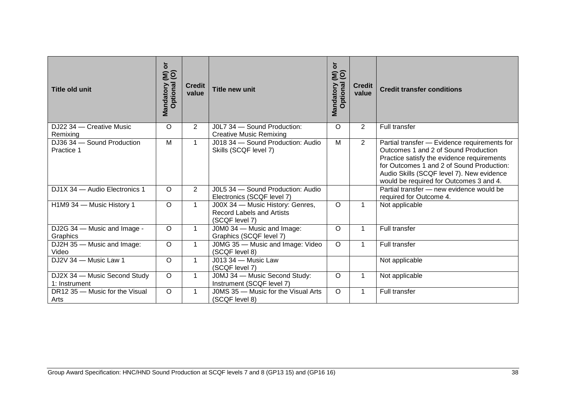| <b>Title old unit</b>                         | $\overline{\mathsf{o}}$<br>$\widehat{\mathsf{g}}$<br>Optional<br>Mandatory | <b>Credit</b><br>value | <b>Title new unit</b>                                                                  | ð<br>$\widehat{\mathsf{g}}$<br>Optional<br>Mandatory | <b>Credit</b><br>value | <b>Credit transfer conditions</b>                                                                                                                                                                                                                                       |
|-----------------------------------------------|----------------------------------------------------------------------------|------------------------|----------------------------------------------------------------------------------------|------------------------------------------------------|------------------------|-------------------------------------------------------------------------------------------------------------------------------------------------------------------------------------------------------------------------------------------------------------------------|
| DJ22 34 - Creative Music<br>Remixing          | $\circ$                                                                    | $\overline{2}$         | J0L7 34 - Sound Production:<br><b>Creative Music Remixing</b>                          | O                                                    | $\overline{2}$         | Full transfer                                                                                                                                                                                                                                                           |
| DJ36 34 - Sound Production<br>Practice 1      | M                                                                          | $\mathbf 1$            | J018 34 - Sound Production: Audio<br>Skills (SCQF level 7)                             | M                                                    | $\overline{2}$         | Partial transfer - Evidence requirements for<br>Outcomes 1 and 2 of Sound Production<br>Practice satisfy the evidence requirements<br>for Outcomes 1 and 2 of Sound Production:<br>Audio Skills (SCQF level 7). New evidence<br>would be required for Outcomes 3 and 4. |
| DJ1X 34 - Audio Electronics 1                 | $\circ$                                                                    | $\overline{2}$         | J0L5 34 - Sound Production: Audio<br>Electronics (SCQF level 7)                        |                                                      |                        | Partial transfer - new evidence would be<br>required for Outcome 4.                                                                                                                                                                                                     |
| H1M9 34 - Music History 1                     | $\overline{O}$                                                             | $\mathbf{1}$           | J00X 34 - Music History: Genres,<br><b>Record Labels and Artists</b><br>(SCQF level 7) | $\circ$                                              | $\mathbf{1}$           | Not applicable                                                                                                                                                                                                                                                          |
| DJ2G 34 - Music and Image -<br>Graphics       | $\circ$                                                                    | $\mathbf 1$            | J0M0 34 - Music and Image:<br>Graphics (SCQF level 7)                                  | O                                                    | $\mathbf{1}$           | Full transfer                                                                                                                                                                                                                                                           |
| DJ2H 35 - Music and Image:<br>Video           | $\circ$                                                                    | $\mathbf 1$            | J0MG 35 - Music and Image: Video<br>(SCQF level 8)                                     | $\circ$                                              | 1                      | Full transfer                                                                                                                                                                                                                                                           |
| DJ2V 34 - Music Law 1                         | $\Omega$                                                                   | $\mathbf{1}$           | J013 34 - Music Law<br>(SCQF level 7)                                                  |                                                      |                        | Not applicable                                                                                                                                                                                                                                                          |
| DJ2X 34 - Music Second Study<br>1: Instrument | $\circ$                                                                    | $\mathbf 1$            | J0MJ 34 - Music Second Study:<br>Instrument (SCQF level 7)                             | O                                                    | 1                      | Not applicable                                                                                                                                                                                                                                                          |
| DR12 35 - Music for the Visual<br>Arts        | $\circ$                                                                    | 1                      | J0MS 35 - Music for the Visual Arts<br>(SCQF level 8)                                  | $\circ$                                              | $\mathbf 1$            | Full transfer                                                                                                                                                                                                                                                           |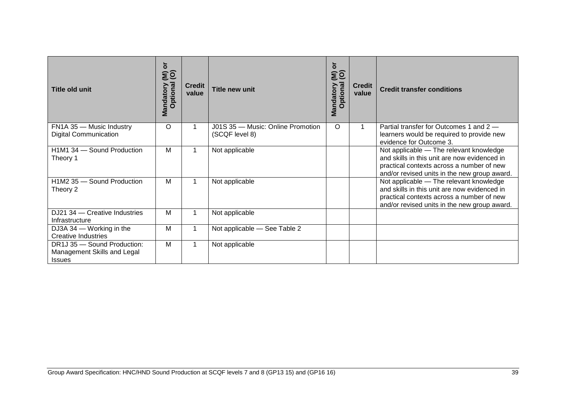| <b>Title old unit</b>                                                       | ŏ<br>εĝ<br>Optional<br>Mandatory | <b>Credit</b><br>value | <b>Title new unit</b>                               | ð<br>$\widehat{\epsilon}$<br>Optional<br>Mandatory | <b>Credit</b><br>value | <b>Credit transfer conditions</b>                                                                                                                                                    |
|-----------------------------------------------------------------------------|----------------------------------|------------------------|-----------------------------------------------------|----------------------------------------------------|------------------------|--------------------------------------------------------------------------------------------------------------------------------------------------------------------------------------|
| FN1A 35 - Music Industry<br><b>Digital Communication</b>                    | O                                |                        | J01S 35 - Music: Online Promotion<br>(SCQF level 8) | O                                                  |                        | Partial transfer for Outcomes 1 and 2 -<br>learners would be required to provide new<br>evidence for Outcome 3.                                                                      |
| H1M1 34 - Sound Production<br>Theory 1                                      | М                                |                        | Not applicable                                      |                                                    |                        | Not applicable - The relevant knowledge<br>and skills in this unit are now evidenced in<br>practical contexts across a number of new<br>and/or revised units in the new group award. |
| H1M2 35 - Sound Production<br>Theory 2                                      | М                                |                        | Not applicable                                      |                                                    |                        | Not applicable - The relevant knowledge<br>and skills in this unit are now evidenced in<br>practical contexts across a number of new<br>and/or revised units in the new group award. |
| DJ21 34 – Creative Industries<br>Infrastructure                             | М                                |                        | Not applicable                                      |                                                    |                        |                                                                                                                                                                                      |
| DJ3A 34 – Working in the<br><b>Creative Industries</b>                      | М                                |                        | Not applicable - See Table 2                        |                                                    |                        |                                                                                                                                                                                      |
| DR1J 35 - Sound Production:<br>Management Skills and Legal<br><b>Issues</b> | М                                |                        | Not applicable                                      |                                                    |                        |                                                                                                                                                                                      |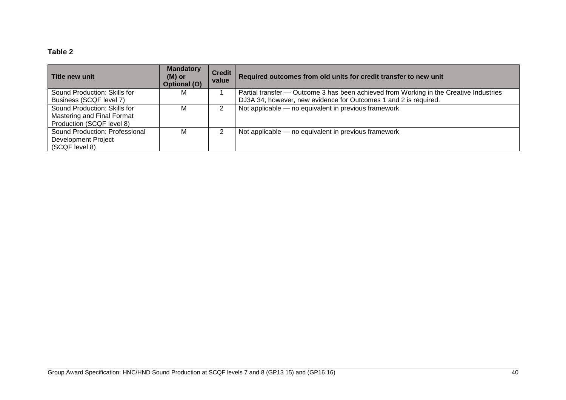### **Table 2**

| l Title new unit               | <b>Mandatory</b><br>$(M)$ or<br><b>Optional (O)</b> | <b>Credit</b><br>value | Required outcomes from old units for credit transfer to new unit                       |
|--------------------------------|-----------------------------------------------------|------------------------|----------------------------------------------------------------------------------------|
| Sound Production: Skills for   | м                                                   |                        | Partial transfer — Outcome 3 has been achieved from Working in the Creative Industries |
| Business (SCQF level 7)        |                                                     |                        | DJ3A 34, however, new evidence for Outcomes 1 and 2 is required.                       |
| Sound Production: Skills for   | м                                                   | 2                      | Not applicable - no equivalent in previous framework                                   |
| Mastering and Final Format     |                                                     |                        |                                                                                        |
| Production (SCQF level 8)      |                                                     |                        |                                                                                        |
| Sound Production: Professional | м                                                   | າ                      | Not applicable - no equivalent in previous framework                                   |
| <b>Development Project</b>     |                                                     |                        |                                                                                        |
| (SCQF level 8)                 |                                                     |                        |                                                                                        |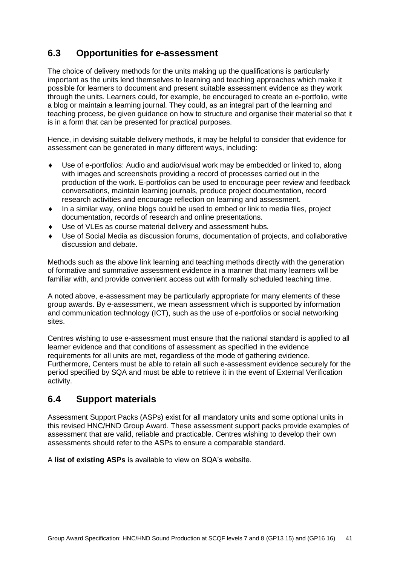## <span id="page-42-0"></span>**6.3 Opportunities for e-assessment**

The choice of delivery methods for the units making up the qualifications is particularly important as the units lend themselves to learning and teaching approaches which make it possible for learners to document and present suitable assessment evidence as they work through the units. Learners could, for example, be encouraged to create an e-portfolio, write a blog or maintain a learning journal. They could, as an integral part of the learning and teaching process, be given guidance on how to structure and organise their material so that it is in a form that can be presented for practical purposes.

Hence, in devising suitable delivery methods, it may be helpful to consider that evidence for assessment can be generated in many different ways, including:

- Use of e-portfolios: Audio and audio/visual work may be embedded or linked to, along with images and screenshots providing a record of processes carried out in the production of the work. E-portfolios can be used to encourage peer review and feedback conversations, maintain learning journals, produce project documentation, record research activities and encourage reflection on learning and assessment.
- In a similar way, online blogs could be used to embed or link to media files, project documentation, records of research and online presentations.
- Use of VLEs as course material delivery and assessment hubs.
- Use of Social Media as discussion forums, documentation of projects, and collaborative discussion and debate.

Methods such as the above link learning and teaching methods directly with the generation of formative and summative assessment evidence in a manner that many learners will be familiar with, and provide convenient access out with formally scheduled teaching time.

A noted above, e-assessment may be particularly appropriate for many elements of these group awards. By e-assessment, we mean assessment which is supported by information and communication technology (ICT), such as the use of e-portfolios or social networking sites.

Centres wishing to use e-assessment must ensure that the national standard is applied to all learner evidence and that conditions of assessment as specified in the evidence requirements for all units are met, regardless of the mode of gathering evidence. Furthermore, Centers must be able to retain all such e-assessment evidence securely for the period specified by SQA and must be able to retrieve it in the event of External Verification activity.

### <span id="page-42-1"></span>**6.4 Support materials**

Assessment Support Packs (ASPs) exist for all mandatory units and some optional units in this revised HNC/HND Group Award. These assessment support packs provide examples of assessment that are valid, reliable and practicable. Centres wishing to develop their own assessments should refer to the ASPs to ensure a comparable standard.

A **[list of existing ASPs](http://www.sqa.org.uk/sqa/46233.2769.html)** is available to view on SQA's website.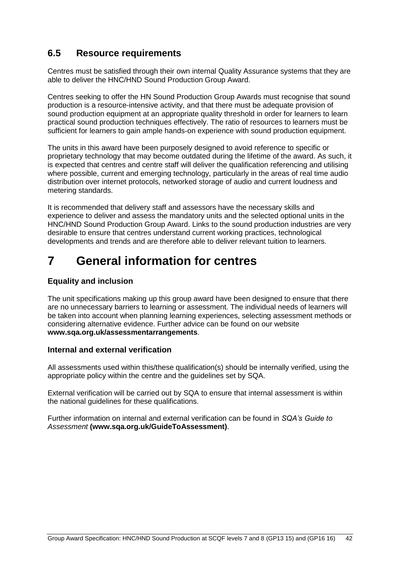## <span id="page-43-0"></span>**6.5 Resource requirements**

Centres must be satisfied through their own internal Quality Assurance systems that they are able to deliver the HNC/HND Sound Production Group Award.

Centres seeking to offer the HN Sound Production Group Awards must recognise that sound production is a resource-intensive activity, and that there must be adequate provision of sound production equipment at an appropriate quality threshold in order for learners to learn practical sound production techniques effectively. The ratio of resources to learners must be sufficient for learners to gain ample hands-on experience with sound production equipment.

The units in this award have been purposely designed to avoid reference to specific or proprietary technology that may become outdated during the lifetime of the award. As such, it is expected that centres and centre staff will deliver the qualification referencing and utilising where possible, current and emerging technology, particularly in the areas of real time audio distribution over internet protocols, networked storage of audio and current loudness and metering standards.

It is recommended that delivery staff and assessors have the necessary skills and experience to deliver and assess the mandatory units and the selected optional units in the HNC/HND Sound Production Group Award. Links to the sound production industries are very desirable to ensure that centres understand current working practices, technological developments and trends and are therefore able to deliver relevant tuition to learners.

## <span id="page-43-1"></span>**7 General information for centres**

#### **Equality and inclusion**

The unit specifications making up this group award have been designed to ensure that there are no unnecessary barriers to learning or assessment. The individual needs of learners will be taken into account when planning learning experiences, selecting assessment methods or considering alternative evidence. Further advice can be found on our website **[www.sqa.org.uk/assessmentarrangements](http://www.sqa.org.uk/sqa/14977.html)**.

#### **Internal and external verification**

All assessments used within this/these qualification(s) should be internally verified, using the appropriate policy within the centre and the guidelines set by SQA.

External verification will be carried out by SQA to ensure that internal assessment is within the national guidelines for these qualifications.

Further information on internal and external verification can be found in *SQA's Guide to Assessment* **[\(www.sqa.org.uk/GuideToAssessment\)](http://www.sqa.org.uk/sqa/files_ccc/GuideToAssessment.pdf)**.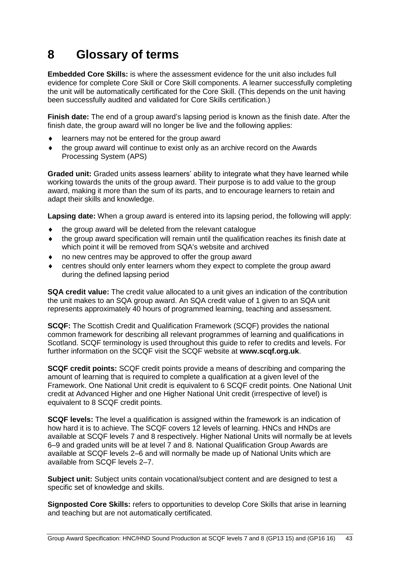## <span id="page-44-0"></span>**8 Glossary of terms**

**Embedded Core Skills:** is where the assessment evidence for the unit also includes full evidence for complete Core Skill or Core Skill components. A learner successfully completing the unit will be automatically certificated for the Core Skill. (This depends on the unit having been successfully audited and validated for Core Skills certification.)

**Finish date:** The end of a group award's lapsing period is known as the finish date. After the finish date, the group award will no longer be live and the following applies:

- learners may not be entered for the group award
- the group award will continue to exist only as an archive record on the Awards Processing System (APS)

**Graded unit:** Graded units assess learners' ability to integrate what they have learned while working towards the units of the group award. Their purpose is to add value to the group award, making it more than the sum of its parts, and to encourage learners to retain and adapt their skills and knowledge.

**Lapsing date:** When a group award is entered into its lapsing period, the following will apply:

- the group award will be deleted from the relevant catalogue
- the group award specification will remain until the qualification reaches its finish date at which point it will be removed from SQA's website and archived
- no new centres may be approved to offer the group award
- centres should only enter learners whom they expect to complete the group award during the defined lapsing period

**SQA credit value:** The credit value allocated to a unit gives an indication of the contribution the unit makes to an SQA group award. An SQA credit value of 1 given to an SQA unit represents approximately 40 hours of programmed learning, teaching and assessment.

**SCQF:** The Scottish Credit and Qualification Framework (SCQF) provides the national common framework for describing all relevant programmes of learning and qualifications in Scotland. SCQF terminology is used throughout this guide to refer to credits and levels. For further information on the SCQF visit the SCQF website at **[www.scqf.org.uk](http://www.scqf.org.uk/)**.

**SCQF credit points:** SCQF credit points provide a means of describing and comparing the amount of learning that is required to complete a qualification at a given level of the Framework. One National Unit credit is equivalent to 6 SCQF credit points. One National Unit credit at Advanced Higher and one Higher National Unit credit (irrespective of level) is equivalent to 8 SCQF credit points.

**SCQF levels:** The level a qualification is assigned within the framework is an indication of how hard it is to achieve. The SCQF covers 12 levels of learning. HNCs and HNDs are available at SCQF levels 7 and 8 respectively. Higher National Units will normally be at levels 6–9 and graded units will be at level 7 and 8. National Qualification Group Awards are available at SCQF levels 2–6 and will normally be made up of National Units which are available from SCQF levels 2–7.

**Subject unit:** Subject units contain vocational/subject content and are designed to test a specific set of knowledge and skills.

**Signposted Core Skills:** refers to opportunities to develop Core Skills that arise in learning and teaching but are not automatically certificated.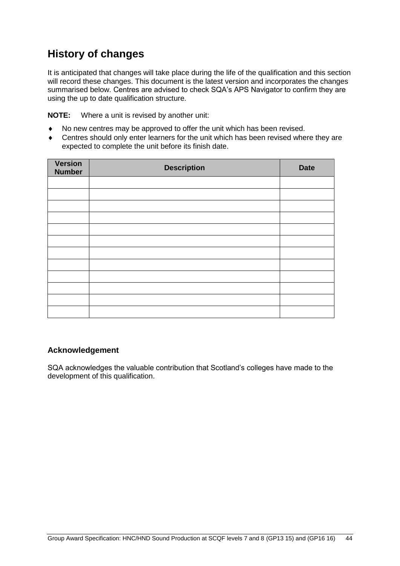## **History of changes**

It is anticipated that changes will take place during the life of the qualification and this section will record these changes. This document is the latest version and incorporates the changes summarised below. Centres are advised to check SQA's APS Navigator to confirm they are using the up to date qualification structure.

**NOTE:** Where a unit is revised by another unit:

- No new centres may be approved to offer the unit which has been revised.
- ◆ Centres should only enter learners for the unit which has been revised where they are expected to complete the unit before its finish date.

| <b>Version</b><br><b>Number</b> | <b>Description</b> | <b>Date</b> |
|---------------------------------|--------------------|-------------|
|                                 |                    |             |
|                                 |                    |             |
|                                 |                    |             |
|                                 |                    |             |
|                                 |                    |             |
|                                 |                    |             |
|                                 |                    |             |
|                                 |                    |             |
|                                 |                    |             |
|                                 |                    |             |
|                                 |                    |             |
|                                 |                    |             |

#### **Acknowledgement**

SQA acknowledges the valuable contribution that Scotland's colleges have made to the development of this qualification.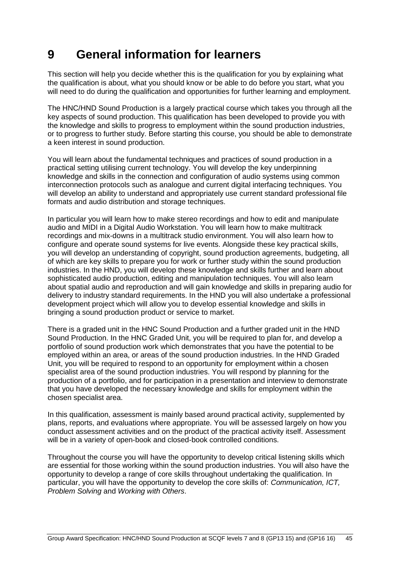## <span id="page-46-0"></span>**9 General information for learners**

This section will help you decide whether this is the qualification for you by explaining what the qualification is about, what you should know or be able to do before you start, what you will need to do during the qualification and opportunities for further learning and employment.

The HNC/HND Sound Production is a largely practical course which takes you through all the key aspects of sound production. This qualification has been developed to provide you with the knowledge and skills to progress to employment within the sound production industries, or to progress to further study. Before starting this course, you should be able to demonstrate a keen interest in sound production.

You will learn about the fundamental techniques and practices of sound production in a practical setting utilising current technology. You will develop the key underpinning knowledge and skills in the connection and configuration of audio systems using common interconnection protocols such as analogue and current digital interfacing techniques. You will develop an ability to understand and appropriately use current standard professional file formats and audio distribution and storage techniques.

In particular you will learn how to make stereo recordings and how to edit and manipulate audio and MIDI in a Digital Audio Workstation. You will learn how to make multitrack recordings and mix-downs in a multitrack studio environment. You will also learn how to configure and operate sound systems for live events. Alongside these key practical skills, you will develop an understanding of copyright, sound production agreements, budgeting, all of which are key skills to prepare you for work or further study within the sound production industries. In the HND, you will develop these knowledge and skills further and learn about sophisticated audio production, editing and manipulation techniques. You will also learn about spatial audio and reproduction and will gain knowledge and skills in preparing audio for delivery to industry standard requirements. In the HND you will also undertake a professional development project which will allow you to develop essential knowledge and skills in bringing a sound production product or service to market.

There is a graded unit in the HNC Sound Production and a further graded unit in the HND Sound Production. In the HNC Graded Unit, you will be required to plan for, and develop a portfolio of sound production work which demonstrates that you have the potential to be employed within an area, or areas of the sound production industries. In the HND Graded Unit, you will be required to respond to an opportunity for employment within a chosen specialist area of the sound production industries. You will respond by planning for the production of a portfolio, and for participation in a presentation and interview to demonstrate that you have developed the necessary knowledge and skills for employment within the chosen specialist area.

In this qualification, assessment is mainly based around practical activity, supplemented by plans, reports, and evaluations where appropriate. You will be assessed largely on how you conduct assessment activities and on the product of the practical activity itself. Assessment will be in a variety of open-book and closed-book controlled conditions.

Throughout the course you will have the opportunity to develop critical listening skills which are essential for those working within the sound production industries. You will also have the opportunity to develop a range of core skills throughout undertaking the qualification. In particular, you will have the opportunity to develop the core skills of: *Communication, ICT, Problem Solving* and *Working with Others*.